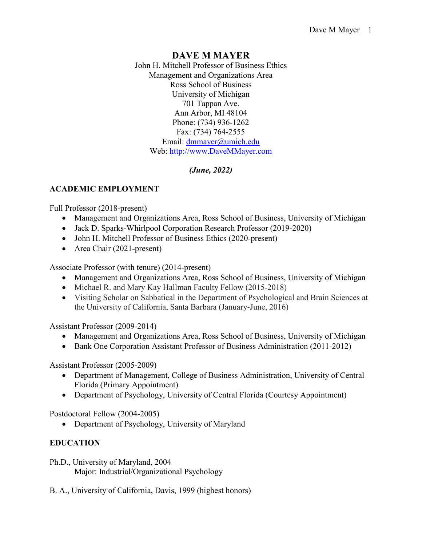# **DAVE M MAYER**

John H. Mitchell Professor of Business Ethics Management and Organizations Area Ross School of Business University of Michigan 701 Tappan Ave. Ann Arbor, MI 48104 Phone: (734) 936-1262 Fax: (734) 764-2555 Email: [dmmayer@umich.edu](mailto:dmmayer@umich.edu) Web: [http://www.DaveMMayer.com](http://www.davemmayer.com/)

# *(June, 2022)*

# **ACADEMIC EMPLOYMENT**

Full Professor (2018-present)

- Management and Organizations Area, Ross School of Business, University of Michigan
- Jack D. Sparks-Whirlpool Corporation Research Professor (2019-2020)
- John H. Mitchell Professor of Business Ethics (2020-present)
- Area Chair (2021-present)

Associate Professor (with tenure) (2014-present)

- Management and Organizations Area, Ross School of Business, University of Michigan
- Michael R. and Mary Kay Hallman Faculty Fellow (2015-2018)
- Visiting Scholar on Sabbatical in the Department of Psychological and Brain Sciences at the University of California, Santa Barbara (January-June, 2016)

Assistant Professor (2009-2014)

- Management and Organizations Area, Ross School of Business, University of Michigan
- Bank One Corporation Assistant Professor of Business Administration (2011-2012)

Assistant Professor (2005-2009)

- Department of Management, College of Business Administration, University of Central Florida (Primary Appointment)
- Department of Psychology, University of Central Florida (Courtesy Appointment)

Postdoctoral Fellow (2004-2005)

• Department of Psychology, University of Maryland

# **EDUCATION**

- Ph.D., University of Maryland, 2004 Major: Industrial/Organizational Psychology
- B. A., University of California, Davis, 1999 (highest honors)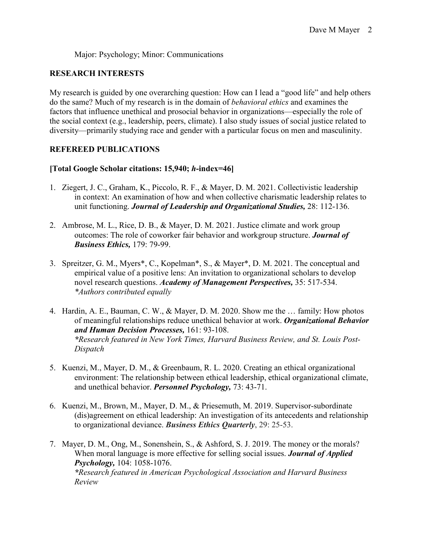Major: Psychology; Minor: Communications

### **RESEARCH INTERESTS**

My research is guided by one overarching question: How can I lead a "good life" and help others do the same? Much of my research is in the domain of *behavioral ethics* and examines the factors that influence unethical and prosocial behavior in organizations—especially the role of the social context (e.g., leadership, peers, climate). I also study issues of social justice related to diversity—primarily studying race and gender with a particular focus on men and masculinity.

### **REFEREED PUBLICATIONS**

#### **[Total Google Scholar citations: 15,940;** *h***-index=46]**

- 1. Ziegert, J. C., Graham, K., Piccolo, R. F., & Mayer, D. M. 2021. Collectivistic leadership in context: An examination of how and when collective charismatic leadership relates to unit functioning. *Journal of Leadership and Organizational Studies,* 28: 112-136.
- 2. Ambrose, M. L., Rice, D. B., & Mayer, D. M. 2021. Justice climate and work group outcomes: The role of coworker fair behavior and workgroup structure. *Journal of Business Ethics,* 179: 79-99.
- 3. Spreitzer, G. M., Myers\*, C., Kopelman\*, S., & Mayer\*, D. M. 2021. The conceptual and empirical value of a positive lens: An invitation to organizational scholars to develop novel research questions. *Academy of Management Perspectives,* 35: 517-534. *\*Authors contributed equally*
- 4. Hardin, A. E., Bauman, C. W., & Mayer, D. M. 2020. Show me the … family: How photos of meaningful relationships reduce unethical behavior at work. *Organizational Behavior and Human Decision Processes,* 161: 93-108. *\*Research featured in New York Times, Harvard Business Review, and St. Louis Post-Dispatch*
- 5. Kuenzi, M., Mayer, D. M., & Greenbaum, R. L. 2020. Creating an ethical organizational environment: The relationship between ethical leadership, ethical organizational climate, and unethical behavior. *Personnel Psychology,* 73: 43-71.
- 6. Kuenzi, M., Brown, M., Mayer, D. M., & Priesemuth, M. 2019. Supervisor-subordinate (dis)agreement on ethical leadership: An investigation of its antecedents and relationship to organizational deviance. *Business Ethics Quarterly*, 29: 25-53.
- 7. Mayer, D. M., Ong, M., Sonenshein, S., & Ashford, S. J. 2019. The money or the morals? When moral language is more effective for selling social issues. *Journal of Applied Psychology,* 104: 1058-1076. *\*Research featured in American Psychological Association and Harvard Business Review*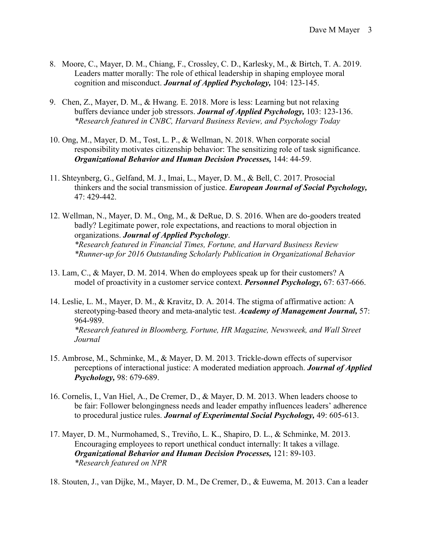- 8. Moore, C., Mayer, D. M., Chiang, F., Crossley, C. D., Karlesky, M., & Birtch, T. A. 2019. Leaders matter morally: The role of ethical leadership in shaping employee moral cognition and misconduct. *Journal of Applied Psychology,* 104: 123-145.
- 9. Chen, Z., Mayer, D. M., & Hwang. E. 2018. More is less: Learning but not relaxing buffers deviance under job stressors. *Journal of Applied Psychology,* 103: 123-136. *\*Research featured in CNBC, Harvard Business Review, and Psychology Today*
- 10. Ong, M., Mayer, D. M., Tost, L. P., & Wellman, N. 2018. When corporate social responsibility motivates citizenship behavior: The sensitizing role of task significance. *Organizational Behavior and Human Decision Processes,* 144: 44-59.
- 11. Shteynberg, G., Gelfand, M. J., Imai, L., Mayer, D. M., & Bell, C. 2017. Prosocial thinkers and the social transmission of justice. *European Journal of Social Psychology,*  47: 429-442.
- 12. Wellman, N., Mayer, D. M., Ong, M., & DeRue, D. S. 2016. When are do-gooders treated badly? Legitimate power, role expectations, and reactions to moral objection in organizations. *Journal of Applied Psychology*. *\*Research featured in Financial Times, Fortune, and Harvard Business Review \*Runner-up for 2016 Outstanding Scholarly Publication in Organizational Behavior*
- 13. Lam, C., & Mayer, D. M. 2014. When do employees speak up for their customers? A model of proactivity in a customer service context. *Personnel Psychology,* 67: 637-666.
- 14. Leslie, L. M., Mayer, D. M., & Kravitz, D. A. 2014. The stigma of affirmative action: A stereotyping-based theory and meta-analytic test. *Academy of Management Journal,* 57: 964-989. *\*Research featured in Bloomberg, Fortune, HR Magazine, Newsweek, and Wall Street Journal*
- 15. Ambrose, M., Schminke, M., & Mayer, D. M. 2013. Trickle-down effects of supervisor perceptions of interactional justice: A moderated mediation approach. *Journal of Applied Psychology,* 98: 679-689.
- 16. Cornelis, I., Van Hiel, A., De Cremer, D., & Mayer, D. M. 2013. When leaders choose to be fair: Follower belongingness needs and leader empathy influences leaders' adherence to procedural justice rules. *Journal of Experimental Social Psychology,* 49: 605-613.
- 17. Mayer, D. M., Nurmohamed, S., Treviño, L. K., Shapiro, D. L., & Schminke, M. 2013. Encouraging employees to report unethical conduct internally: It takes a village. *Organizational Behavior and Human Decision Processes,* 121: 89-103. *\*Research featured on NPR*
- 18. Stouten, J., van Dijke, M., Mayer, D. M., De Cremer, D., & Euwema, M. 2013. Can a leader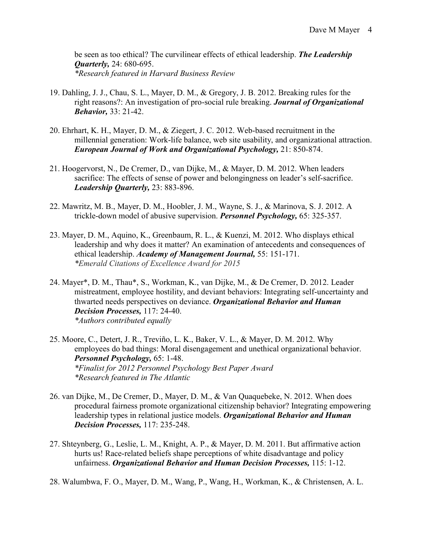be seen as too ethical? The curvilinear effects of ethical leadership. *The Leadership Quarterly,* 24: 680-695. *\*Research featured in Harvard Business Review* 

- 19. Dahling, J. J., Chau, S. L., Mayer, D. M., & Gregory, J. B. 2012. Breaking rules for the right reasons?: An investigation of pro-social rule breaking. *Journal of Organizational Behavior,* 33: 21-42.
- 20. Ehrhart, K. H., Mayer, D. M., & Ziegert, J. C. 2012. Web-based recruitment in the millennial generation: Work-life balance, web site usability, and organizational attraction. *European Journal of Work and Organizational Psychology,* 21: 850-874.
- 21. Hoogervorst, N., De Cremer, D., van Dijke, M., & Mayer, D. M. 2012. When leaders sacrifice: The effects of sense of power and belongingness on leader's self-sacrifice. *Leadership Quarterly,* 23: 883-896.
- 22. Mawritz, M. B., Mayer, D. M., Hoobler, J. M., Wayne, S. J., & Marinova, S. J. 2012. A trickle-down model of abusive supervision. *Personnel Psychology,* 65: 325-357.
- 23. Mayer, D. M., Aquino, K., Greenbaum, R. L., & Kuenzi, M. 2012. Who displays ethical leadership and why does it matter? An examination of antecedents and consequences of ethical leadership. *Academy of Management Journal,* 55: 151-171. *\*Emerald Citations of Excellence Award for 2015*
- 24. Mayer\*, D. M., Thau\*, S., Workman, K., van Dijke, M., & De Cremer, D. 2012. Leader mistreatment, employee hostility, and deviant behaviors: Integrating self-uncertainty and thwarted needs perspectives on deviance. *Organizational Behavior and Human Decision Processes,* 117: 24-40. *\*Authors contributed equally*

25. Moore, C., Detert, J. R., Treviño, L. K., Baker, V. L., & Mayer, D. M. 2012. Why employees do bad things: Moral disengagement and unethical organizational behavior. *Personnel Psychology,* 65: 1-48. *\*Finalist for 2012 Personnel Psychology Best Paper Award \*Research featured in The Atlantic* 

- 26. van Dijke, M., De Cremer, D., Mayer, D. M., & Van Quaquebeke, N. 2012. When does procedural fairness promote organizational citizenship behavior? Integrating empowering leadership types in relational justice models. *Organizational Behavior and Human Decision Processes,* 117: 235-248.
- 27. Shteynberg, G., Leslie, L. M., Knight, A. P., & Mayer, D. M. 2011. But affirmative action hurts us! Race-related beliefs shape perceptions of white disadvantage and policy unfairness. *Organizational Behavior and Human Decision Processes,* 115: 1-12.
- 28. Walumbwa, F. O., Mayer, D. M., Wang, P., Wang, H., Workman, K., & Christensen, A. L.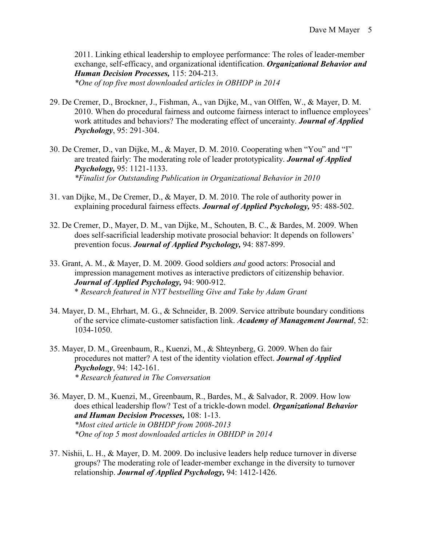2011. Linking ethical leadership to employee performance: The roles of leader-member exchange, self-efficacy, and organizational identification. *Organizational Behavior and Human Decision Processes,* 115: 204-213. *\*One of top five most downloaded articles in OBHDP in 2014*

29. De Cremer, D., Brockner, J., Fishman, A., van Dijke, M., van Olffen, W., & Mayer, D. M. 2010. When do procedural fairness and outcome fairness interact to influence employees' work attitudes and behaviors? The moderating effect of uncerainty. *Journal of Applied Psychology*, 95: 291-304.

- 30. De Cremer, D., van Dijke, M., & Mayer, D. M. 2010. Cooperating when "You" and "I" are treated fairly: The moderating role of leader prototypicality. *Journal of Applied Psychology,* 95: 1121-1133. *\*Finalist for Outstanding Publication in Organizational Behavior in 2010*
- 31. van Dijke, M., De Cremer, D., & Mayer, D. M. 2010. The role of authority power in explaining procedural fairness effects. *Journal of Applied Psychology,* 95: 488-502.
- 32. De Cremer, D., Mayer, D. M., van Dijke, M., Schouten, B. C., & Bardes, M. 2009. When does self-sacrificial leadership motivate prosocial behavior: It depends on followers' prevention focus. *Journal of Applied Psychology,* 94: 887-899.
- 33. Grant, A. M., & Mayer, D. M. 2009. Good soldiers *and* good actors: Prosocial and impression management motives as interactive predictors of citizenship behavior. *Journal of Applied Psychology,* 94: 900-912. \* *Research featured in NYT bestselling Give and Take by Adam Grant*
- 34. Mayer, D. M., Ehrhart, M. G., & Schneider, B. 2009. Service attribute boundary conditions of the service climate-customer satisfaction link. *Academy of Management Journal*, 52: 1034-1050.
- 35. Mayer, D. M., Greenbaum, R., Kuenzi, M., & Shteynberg, G. 2009. When do fair procedures not matter? A test of the identity violation effect. *Journal of Applied Psychology*, 94: 142-161. *\* Research featured in The Conversation*
- 36. Mayer, D. M., Kuenzi, M., Greenbaum, R., Bardes, M., & Salvador, R. 2009. How low does ethical leadership flow? Test of a trickle-down model. *Organizational Behavior and Human Decision Processes,* 108: 1-13. *\*Most cited article in OBHDP from 2008-2013 \*One of top 5 most downloaded articles in OBHDP in 2014*
- 37. Nishii, L. H., & Mayer, D. M. 2009. Do inclusive leaders help reduce turnover in diverse groups? The moderating role of leader-member exchange in the diversity to turnover relationship. *Journal of Applied Psychology,* 94: 1412-1426.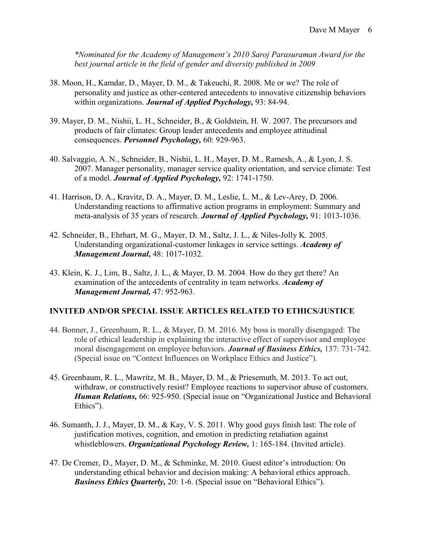*\*Nominated for the Academy of Management's 2010 Saroj Parasuraman Award for the best journal article in the field of gender and diversity published in 2009* 

- 38. Moon, H., Kamdar, D., Mayer, D. M., & Takeuchi, R. 2008. Me or we? The role of personality and justice as other-centered antecedents to innovative citizenship behaviors within organizations. *Journal of Applied Psychology,* 93: 84-94.
- 39. Mayer, D. M., Nishii, L. H., Schneider, B., & Goldstein, H. W. 2007. The precursors and products of fair climates: Group leader antecedents and employee attitudinal consequences. *Personnel Psychology,* 60: 929-963.
- 40. Salvaggio, A. N., Schneider, B., Nishii, L. H., Mayer, D. M., Ramesh, A., & Lyon, J. S. 2007. Manager personality, manager service quality orientation, and service climate: Test of a model. *Journal of Applied Psychology,* 92: 1741-1750.
- 41. Harrison, D. A., Kravitz, D. A., Mayer, D. M., Leslie, L. M., & Lev-Arey, D. 2006. Understanding reactions to affirmative action programs in employment: Summary and meta-analysis of 35 years of research. *Journal of Applied Psychology,* 91: 1013-1036.
- 42. Schneider, B., Ehrhart, M. G., Mayer, D. M., Saltz, J. L., & Niles-Jolly K. 2005. Understanding organizational-customer linkages in service settings. *Academy of Management Journal***,** 48: 1017-1032.
- 43. Klein, K. J., Lim, B., Saltz, J. L., & Mayer, D. M. 2004. How do they get there? An examination of the antecedents of centrality in team networks. *Academy of Management Journal,* 47: 952-963.

#### **INVITED AND/OR SPECIAL ISSUE ARTICLES RELATED TO ETHICS/JUSTICE**

- 44. Bonner, J., Greenbaum, R. L., & Mayer, D. M. 2016. My boss is morally disengaged: The role of ethical leadership in explaining the interactive effect of supervisor and employee moral disengagement on employee behaviors. *Journal of Business Ethics,* 137: 731-742. (Special issue on "Context Influences on Workplace Ethics and Justice").
- 45. Greenbaum, R. L., Mawritz, M. B., Mayer, D. M., & Priesemuth, M. 2013. To act out, withdraw, or constructively resist? Employee reactions to supervisor abuse of customers. *Human Relations,* 66: 925-950. (Special issue on "Organizational Justice and Behavioral Ethics").
- 46. Sumanth, J. J., Mayer, D. M., & Kay, V. S. 2011. Why good guys finish last: The role of justification motives, cognition, and emotion in predicting retaliation against whistleblowers. *Organizational Psychology Review,* 1: 165-184. (Invited article).
- 47. De Cremer, D., Mayer, D. M., & Schminke, M. 2010. Guest editor's introduction: On understanding ethical behavior and decision making: A behavioral ethics approach. *Business Ethics Quarterly,* 20: 1-6. (Special issue on "Behavioral Ethics").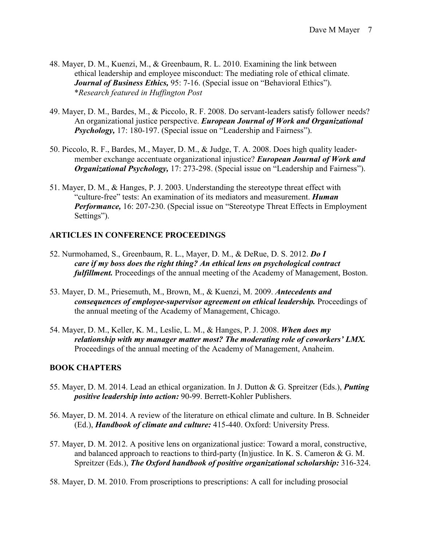- 48. Mayer, D. M., Kuenzi, M., & Greenbaum, R. L. 2010. Examining the link between ethical leadership and employee misconduct: The mediating role of ethical climate. *Journal of Business Ethics,* 95: 7-16. (Special issue on "Behavioral Ethics"). \**Research featured in Huffington Post*
- 49. Mayer, D. M., Bardes, M., & Piccolo, R. F. 2008. Do servant-leaders satisfy follower needs? An organizational justice perspective. *European Journal of Work and Organizational Psychology,* 17: 180-197. (Special issue on "Leadership and Fairness").
- 50. Piccolo, R. F., Bardes, M., Mayer, D. M., & Judge, T. A. 2008. Does high quality leadermember exchange accentuate organizational injustice? *European Journal of Work and Organizational Psychology,* 17: 273-298. (Special issue on "Leadership and Fairness").
- 51. Mayer, D. M., & Hanges, P. J. 2003. Understanding the stereotype threat effect with "culture-free" tests: An examination of its mediators and measurement. *Human Performance,* 16: 207-230. (Special issue on "Stereotype Threat Effects in Employment Settings").

#### **ARTICLES IN CONFERENCE PROCEEDINGS**

- 52. Nurmohamed, S., Greenbaum, R. L., Mayer, D. M., & DeRue, D. S. 2012. *Do I care if my boss does the right thing? An ethical lens on psychological contract fulfillment*. Proceedings of the annual meeting of the Academy of Management, Boston.
- 53. Mayer, D. M., Priesemuth, M., Brown, M., & Kuenzi, M. 2009. *Antecedents and consequences of employee-supervisor agreement on ethical leadership.* Proceedings of the annual meeting of the Academy of Management, Chicago.
- 54. Mayer, D. M., Keller, K. M., Leslie, L. M., & Hanges, P. J. 2008. *When does my relationship with my manager matter most? The moderating role of coworkers' LMX.* Proceedings of the annual meeting of the Academy of Management, Anaheim.

#### **BOOK CHAPTERS**

- 55. Mayer, D. M. 2014. Lead an ethical organization. In J. Dutton & G. Spreitzer (Eds.), *Putting positive leadership into action:* 90-99. Berrett-Kohler Publishers.
- 56. Mayer, D. M. 2014. A review of the literature on ethical climate and culture. In B. Schneider (Ed.), *Handbook of climate and culture:* 415-440. Oxford: University Press.
- 57. Mayer, D. M. 2012. A positive lens on organizational justice: Toward a moral, constructive, and balanced approach to reactions to third-party (In) justice. In K. S. Cameron & G. M. Spreitzer (Eds.), *The Oxford handbook of positive organizational scholarship:* 316-324.
- 58. Mayer, D. M. 2010. From proscriptions to prescriptions: A call for including prosocial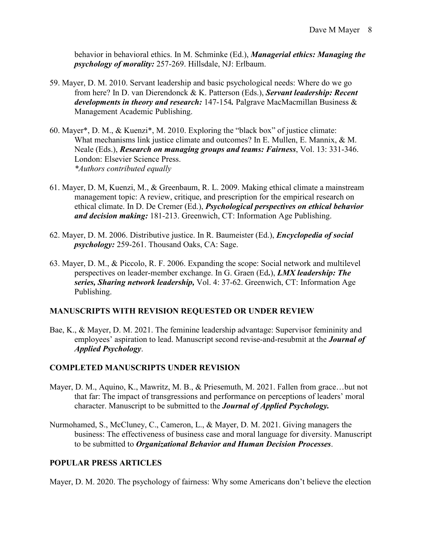behavior in behavioral ethics. In M. Schminke (Ed.), *Managerial ethics: Managing the psychology of morality:* 257-269. Hillsdale, NJ: Erlbaum.

- 59. Mayer, D. M. 2010. Servant leadership and basic psychological needs: Where do we go from here? In D. van Dierendonck & K. Patterson (Eds.), *Servant leadership: Recent developments in theory and research:* 147-154*.* Palgrave MacMacmillan Business & Management Academic Publishing.
- 60. Mayer\*, D. M., & Kuenzi\*, M. 2010. Exploring the "black box" of justice climate: What mechanisms link justice climate and outcomes? In E. Mullen, E. Mannix, & M. Neale (Eds.), *Research on managing groups and teams: Fairness*, Vol. 13: 331-346. London: Elsevier Science Press. *\*Authors contributed equally*
- 61. Mayer, D. M, Kuenzi, M., & Greenbaum, R. L. 2009. Making ethical climate a mainstream management topic: A review, critique, and prescription for the empirical research on ethical climate. In D. De Cremer (Ed.), *Psychological perspectives on ethical behavior and decision making:* 181-213. Greenwich, CT: Information Age Publishing.
- 62. Mayer, D. M. 2006. Distributive justice. In R. Baumeister (Ed.), *Encyclopedia of social psychology:* 259-261. Thousand Oaks, CA: Sage.
- 63. Mayer, D. M., & Piccolo, R. F. 2006. Expanding the scope: Social network and multilevel perspectives on leader-member exchange. In G. Graen (Ed**.**), *LMX leadership: The series, Sharing network leadership,* Vol. 4: 37-62. Greenwich, CT: Information Age Publishing.

### **MANUSCRIPTS WITH REVISION REQUESTED OR UNDER REVIEW**

Bae, K., & Mayer, D. M. 2021. The feminine leadership advantage: Supervisor femininity and employees' aspiration to lead. Manuscript second revise-and-resubmit at the *Journal of Applied Psychology*.

### **COMPLETED MANUSCRIPTS UNDER REVISION**

- Mayer, D. M., Aquino, K., Mawritz, M. B., & Priesemuth, M. 2021. Fallen from grace…but not that far: The impact of transgressions and performance on perceptions of leaders' moral character. Manuscript to be submitted to the *Journal of Applied Psychology.*
- Nurmohamed, S., McCluney, C., Cameron, L., & Mayer, D. M. 2021. Giving managers the business: The effectiveness of business case and moral language for diversity. Manuscript to be submitted to *Organizational Behavior and Human Decision Processes*.

### **POPULAR PRESS ARTICLES**

Mayer, D. M. 2020. The psychology of fairness: Why some Americans don't believe the election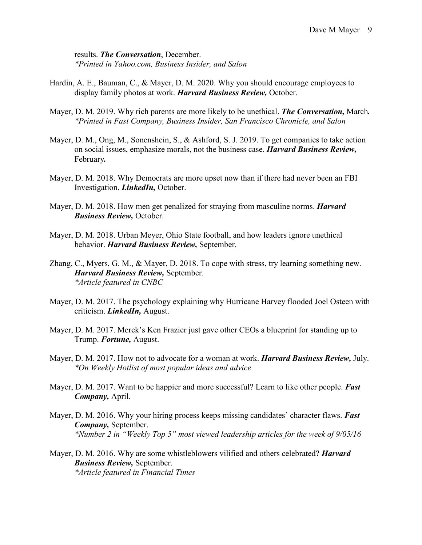results. *The Conversation*, December. *\*Printed in Yahoo.com, Business Insider, and Salon* 

- Hardin, A. E., Bauman, C., & Mayer, D. M. 2020. Why you should encourage employees to display family photos at work. *Harvard Business Review,* October.
- Mayer, D. M. 2019. Why rich parents are more likely to be unethical. *The Conversation,* March*. \*Printed in Fast Company, Business Insider, San Francisco Chronicle, and Salon*
- Mayer, D. M., Ong, M., Sonenshein, S., & Ashford, S. J. 2019. To get companies to take action on social issues, emphasize morals, not the business case. *Harvard Business Review,*  February*.*
- Mayer, D. M. 2018. Why Democrats are more upset now than if there had never been an FBI Investigation. *LinkedIn,* October.
- Mayer, D. M. 2018. How men get penalized for straying from masculine norms. *Harvard Business Review,* October.
- Mayer, D. M. 2018. Urban Meyer, Ohio State football, and how leaders ignore unethical behavior. *Harvard Business Review,* September.
- Zhang, C., Myers, G. M., & Mayer, D. 2018. To cope with stress, try learning something new. *Harvard Business Review,* September*. \*Article featured in CNBC*
- Mayer, D. M. 2017. The psychology explaining why Hurricane Harvey flooded Joel Osteen with criticism. *LinkedIn,* August.
- Mayer, D. M. 2017. Merck's Ken Frazier just gave other CEOs a blueprint for standing up to Trump. *Fortune,* August.
- Mayer, D. M. 2017. How not to advocate for a woman at work. *Harvard Business Review,* July. *\*On Weekly Hotlist of most popular ideas and advice*
- Mayer, D. M. 2017. Want to be happier and more successful? Learn to like other people. *Fast Company,* April.
- Mayer, D. M. 2016. Why your hiring process keeps missing candidates' character flaws. *Fast Company,* September. *\*Number 2 in "Weekly Top 5" most viewed leadership articles for the week of 9/05/16*
- Mayer, D. M. 2016. Why are some whistleblowers vilified and others celebrated? *Harvard Business Review,* September. *\*Article featured in Financial Times*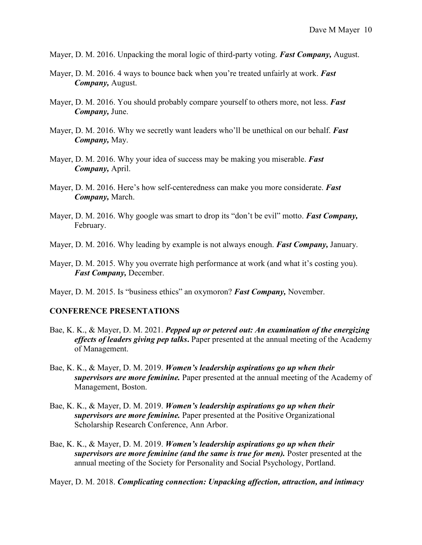Mayer, D. M. 2016. Unpacking the moral logic of third-party voting. *Fast Company,* August.

- Mayer, D. M. 2016. 4 ways to bounce back when you're treated unfairly at work. *Fast Company,* August.
- Mayer, D. M. 2016. You should probably compare yourself to others more, not less. *Fast Company,* June.
- Mayer, D. M. 2016. Why we secretly want leaders who'll be unethical on our behalf. *Fast Company,* May.
- Mayer, D. M. 2016. Why your idea of success may be making you miserable. *Fast Company,* April.
- Mayer, D. M. 2016. Here's how self-centeredness can make you more considerate. *Fast Company,* March.
- Mayer, D. M. 2016. Why google was smart to drop its "don't be evil" motto. *Fast Company,* February.
- Mayer, D. M. 2016. Why leading by example is not always enough. *Fast Company,* January.
- Mayer, D. M. 2015. Why you overrate high performance at work (and what it's costing you). *Fast Company,* December.
- Mayer, D. M. 2015. Is "business ethics" an oxymoron? *Fast Company,* November.

#### **CONFERENCE PRESENTATIONS**

- Bae, K. K., & Mayer, D. M. 2021. *Pepped up or petered out: An examination of the energizing effects of leaders giving pep talks***.** Paper presented at the annual meeting of the Academy of Management.
- Bae, K. K., & Mayer, D. M. 2019. *Women's leadership aspirations go up when their supervisors are more feminine.* Paper presented at the annual meeting of the Academy of Management, Boston.
- Bae, K. K., & Mayer, D. M. 2019. *Women's leadership aspirations go up when their supervisors are more feminine.* Paper presented at the Positive Organizational Scholarship Research Conference, Ann Arbor.
- Bae, K. K., & Mayer, D. M. 2019. *Women's leadership aspirations go up when their supervisors are more feminine (and the same is true for men).* Poster presented at the annual meeting of the Society for Personality and Social Psychology, Portland.

Mayer, D. M. 2018. *Complicating connection: Unpacking affection, attraction, and intimacy*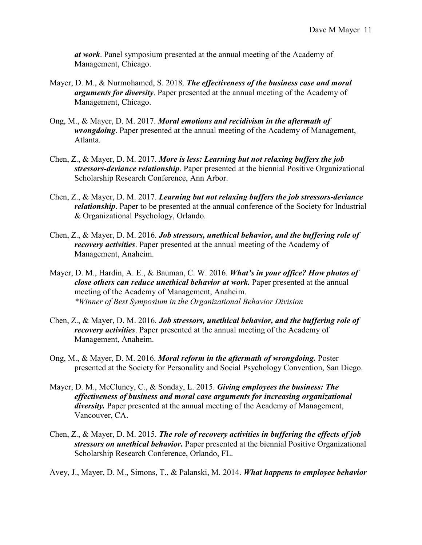*at work*. Panel symposium presented at the annual meeting of the Academy of Management, Chicago.

- Mayer, D. M., & Nurmohamed, S. 2018. *The effectiveness of the business case and moral arguments for diversity*. Paper presented at the annual meeting of the Academy of Management, Chicago.
- Ong, M., & Mayer, D. M. 2017. *Moral emotions and recidivism in the aftermath of wrongdoing*. Paper presented at the annual meeting of the Academy of Management, Atlanta.
- Chen, Z., & Mayer, D. M. 2017. *More is less: Learning but not relaxing buffers the job stressors-deviance relationship*. Paper presented at the biennial Positive Organizational Scholarship Research Conference, Ann Arbor.
- Chen, Z., & Mayer, D. M. 2017. *Learning but not relaxing buffers the job stressors-deviance relationship*. Paper to be presented at the annual conference of the Society for Industrial & Organizational Psychology, Orlando.
- Chen, Z., & Mayer, D. M. 2016. *Job stressors, unethical behavior, and the buffering role of recovery activities*. Paper presented at the annual meeting of the Academy of Management, Anaheim.
- Mayer, D. M., Hardin, A. E., & Bauman, C. W. 2016. *What's in your office? How photos of close others can reduce unethical behavior at work.* Paper presented at the annual meeting of the Academy of Management, Anaheim. *\*Winner of Best Symposium in the Organizational Behavior Division*
- Chen, Z., & Mayer, D. M. 2016. *Job stressors, unethical behavior, and the buffering role of recovery activities*. Paper presented at the annual meeting of the Academy of Management, Anaheim.
- Ong, M., & Mayer, D. M. 2016. *Moral reform in the aftermath of wrongdoing.* Poster presented at the Society for Personality and Social Psychology Convention, San Diego.
- Mayer, D. M., McCluney, C., & Sonday, L. 2015. *Giving employees the business: The effectiveness of business and moral case arguments for increasing organizational diversity.* Paper presented at the annual meeting of the Academy of Management, Vancouver, CA.
- Chen, Z., & Mayer, D. M. 2015. *The role of recovery activities in buffering the effects of job stressors on unethical behavior.* Paper presented at the biennial Positive Organizational Scholarship Research Conference, Orlando, FL.

Avey, J., Mayer, D. M., Simons, T., & Palanski, M. 2014. *What happens to employee behavior*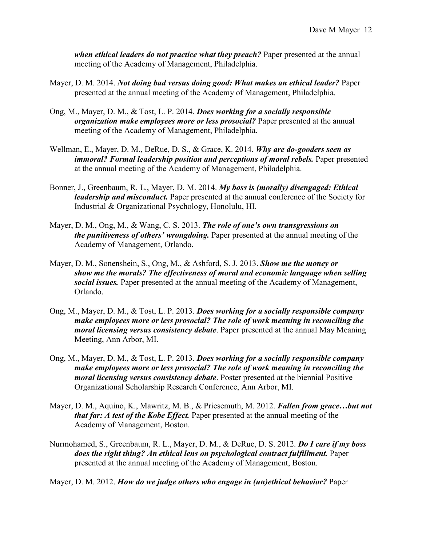*when ethical leaders do not practice what they preach?* Paper presented at the annual meeting of the Academy of Management, Philadelphia.

- Mayer, D. M. 2014. *Not doing bad versus doing good: What makes an ethical leader?* Paper presented at the annual meeting of the Academy of Management, Philadelphia.
- Ong, M., Mayer, D. M., & Tost, L. P. 2014. *Does working for a socially responsible organization make employees more or less prosocial?* Paper presented at the annual meeting of the Academy of Management, Philadelphia.
- Wellman, E., Mayer, D. M., DeRue, D. S., & Grace, K. 2014. *Why are do-gooders seen as immoral? Formal leadership position and perceptions of moral rebels.* Paper presented at the annual meeting of the Academy of Management, Philadelphia.
- Bonner, J., Greenbaum, R. L., Mayer, D. M. 2014. *My boss is (morally) disengaged: Ethical leadership and misconduct.* Paper presented at the annual conference of the Society for Industrial & Organizational Psychology, Honolulu, HI.
- Mayer, D. M., Ong, M., & Wang, C. S. 2013. *The role of one's own transgressions on the punitiveness of others' wrongdoing.* Paper presented at the annual meeting of the Academy of Management, Orlando.
- Mayer, D. M., Sonenshein, S., Ong, M., & Ashford, S. J. 2013. *Show me the money or show me the morals? The effectiveness of moral and economic language when selling social issues.* Paper presented at the annual meeting of the Academy of Management, Orlando.
- Ong, M., Mayer, D. M., & Tost, L. P. 2013. *Does working for a socially responsible company make employees more or less prosocial? The role of work meaning in reconciling the moral licensing versus consistency debate*. Paper presented at the annual May Meaning Meeting, Ann Arbor, MI.
- Ong, M., Mayer, D. M., & Tost, L. P. 2013. *Does working for a socially responsible company make employees more or less prosocial? The role of work meaning in reconciling the moral licensing versus consistency debate*. Poster presented at the biennial Positive Organizational Scholarship Research Conference, Ann Arbor, MI.
- Mayer, D. M., Aquino, K., Mawritz, M. B., & Priesemuth, M. 2012. *Fallen from grace…but not that far: A test of the Kobe Effect.* Paper presented at the annual meeting of the Academy of Management, Boston.
- Nurmohamed, S., Greenbaum, R. L., Mayer, D. M., & DeRue, D. S. 2012. *Do I care if my boss does the right thing? An ethical lens on psychological contract fulfillment.* Paper presented at the annual meeting of the Academy of Management, Boston.

Mayer, D. M. 2012. *How do we judge others who engage in (un)ethical behavior?* Paper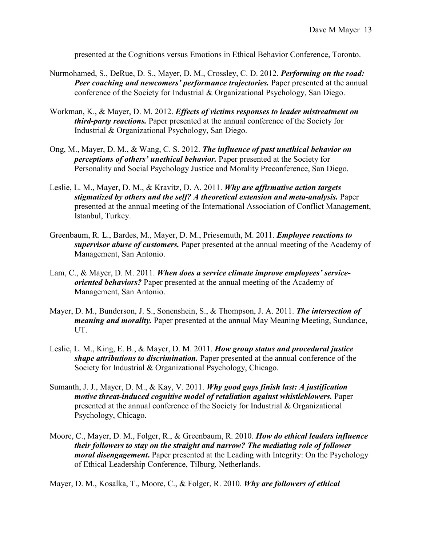presented at the Cognitions versus Emotions in Ethical Behavior Conference, Toronto.

- Nurmohamed, S., DeRue, D. S., Mayer, D. M., Crossley, C. D. 2012. *Performing on the road: Peer coaching and newcomers' performance trajectories.* Paper presented at the annual conference of the Society for Industrial & Organizational Psychology, San Diego.
- Workman, K., & Mayer, D. M. 2012. *Effects of victims responses to leader mistreatment on third-party reactions.* Paper presented at the annual conference of the Society for Industrial & Organizational Psychology, San Diego.
- Ong, M., Mayer, D. M., & Wang, C. S. 2012. *The influence of past unethical behavior on perceptions of others' unethical behavior.* Paper presented at the Society for Personality and Social Psychology Justice and Morality Preconference, San Diego.
- Leslie, L. M., Mayer, D. M., & Kravitz, D. A. 2011. *Why are affirmative action targets stigmatized by others and the self? A theoretical extension and meta-analysis.* Paper presented at the annual meeting of the International Association of Conflict Management, Istanbul, Turkey.
- Greenbaum, R. L., Bardes, M., Mayer, D. M., Priesemuth, M. 2011. *Employee reactions to supervisor abuse of customers.* Paper presented at the annual meeting of the Academy of Management, San Antonio.
- Lam, C., & Mayer, D. M. 2011. *When does a service climate improve employees' serviceoriented behaviors?* Paper presented at the annual meeting of the Academy of Management, San Antonio.
- Mayer, D. M., Bunderson, J. S., Sonenshein, S., & Thompson, J. A. 2011. *The intersection of meaning and morality.* Paper presented at the annual May Meaning Meeting, Sundance, UT.
- Leslie, L. M., King, E. B., & Mayer, D. M. 2011. *How group status and procedural justice shape attributions to discrimination.* Paper presented at the annual conference of the Society for Industrial & Organizational Psychology, Chicago.
- Sumanth, J. J., Mayer, D. M., & Kay, V. 2011. *Why good guys finish last: A justification motive threat-induced cognitive model of retaliation against whistleblowers.* Paper presented at the annual conference of the Society for Industrial & Organizational Psychology, Chicago.
- Moore, C., Mayer, D. M., Folger, R., & Greenbaum, R. 2010. *How do ethical leaders influence their followers to stay on the straight and narrow? The mediating role of follower moral disengagement***.** Paper presented at the Leading with Integrity: On the Psychology of Ethical Leadership Conference, Tilburg, Netherlands.

Mayer, D. M., Kosalka, T., Moore, C., & Folger, R. 2010. *Why are followers of ethical*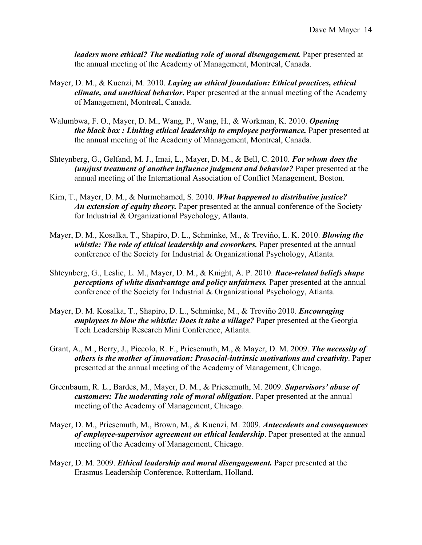*leaders more ethical? The mediating role of moral disengagement.* Paper presented at the annual meeting of the Academy of Management, Montreal, Canada.

- Mayer, D. M., & Kuenzi, M. 2010. *Laying an ethical foundation: Ethical practices, ethical climate, and unethical behavior***.** Paper presented at the annual meeting of the Academy of Management, Montreal, Canada.
- Walumbwa, F. O., Mayer, D. M., Wang, P., Wang, H., & Workman, K. 2010. *Opening the black box : Linking ethical leadership to employee performance.* Paper presented at the annual meeting of the Academy of Management, Montreal, Canada.
- Shteynberg, G., Gelfand, M. J., Imai, L., Mayer, D. M., & Bell, C. 2010. *For whom does the (un)just treatment of another influence judgment and behavior?* Paper presented at the annual meeting of the International Association of Conflict Management, Boston.
- Kim, T., Mayer, D. M., & Nurmohamed, S. 2010. *What happened to distributive justice? An extension of equity theory.* Paper presented at the annual conference of the Society for Industrial & Organizational Psychology, Atlanta.
- Mayer, D. M., Kosalka, T., Shapiro, D. L., Schminke, M., & Treviño, L. K. 2010. *Blowing the whistle: The role of ethical leadership and coworkers.* Paper presented at the annual conference of the Society for Industrial & Organizational Psychology, Atlanta.
- Shteynberg, G., Leslie, L. M., Mayer, D. M., & Knight, A. P. 2010. *Race-related beliefs shape perceptions of white disadvantage and policy unfairness.* Paper presented at the annual conference of the Society for Industrial & Organizational Psychology, Atlanta.
- Mayer, D. M. Kosalka, T., Shapiro, D. L., Schminke, M., & Treviño 2010. *Encouraging employees to blow the whistle: Does it take a village?* Paper presented at the Georgia Tech Leadership Research Mini Conference, Atlanta.
- Grant, A., M., Berry, J., Piccolo, R. F., Priesemuth, M., & Mayer, D. M. 2009. *The necessity of others is the mother of innovation: Prosocial-intrinsic motivations and creativity*. Paper presented at the annual meeting of the Academy of Management, Chicago.
- Greenbaum, R. L., Bardes, M., Mayer, D. M., & Priesemuth, M. 2009. *Supervisors' abuse of customers: The moderating role of moral obligation*. Paper presented at the annual meeting of the Academy of Management, Chicago.
- Mayer, D. M., Priesemuth, M., Brown, M., & Kuenzi, M. 2009. *Antecedents and consequences of employee-supervisor agreement on ethical leadership*. Paper presented at the annual meeting of the Academy of Management, Chicago.
- Mayer, D. M. 2009. *Ethical leadership and moral disengagement.* Paper presented at the Erasmus Leadership Conference, Rotterdam, Holland.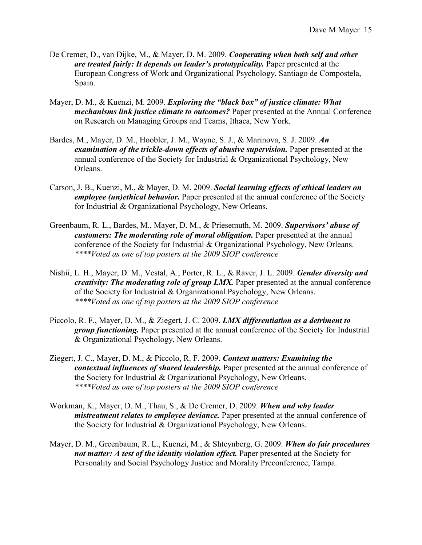- De Cremer, D., van Dijke, M., & Mayer, D. M. 2009. *Cooperating when both self and other are treated fairly: It depends on leader's prototypicality.* Paper presented at the European Congress of Work and Organizational Psychology, Santiago de Compostela, Spain.
- Mayer, D. M., & Kuenzi, M. 2009. *Exploring the "black box" of justice climate: What mechanisms link justice climate to outcomes?* Paper presented at the Annual Conference on Research on Managing Groups and Teams, Ithaca, New York.
- Bardes, M., Mayer, D. M., Hoobler, J. M., Wayne, S. J., & Marinova, S. J. 2009. *An examination of the trickle-down effects of abusive supervision.* Paper presented at the annual conference of the Society for Industrial & Organizational Psychology, New Orleans.
- Carson, J. B., Kuenzi, M., & Mayer, D. M. 2009. *Social learning effects of ethical leaders on employee (un)ethical behavior.* Paper presented at the annual conference of the Society for Industrial & Organizational Psychology, New Orleans.
- Greenbaum, R. L., Bardes, M., Mayer, D. M., & Priesemuth, M. 2009. *Supervisors' abuse of customers: The moderating role of moral obligation.* Paper presented at the annual conference of the Society for Industrial & Organizational Psychology, New Orleans. *\*\*\*\*Voted as one of top posters at the 2009 SIOP conference*
- Nishii, L. H., Mayer, D. M., Vestal, A., Porter, R. L., & Raver, J. L. 2009. *Gender diversity and creativity: The moderating role of group LMX.* Paper presented at the annual conference of the Society for Industrial & Organizational Psychology, New Orleans. *\*\*\*\*Voted as one of top posters at the 2009 SIOP conference*
- Piccolo, R. F., Mayer, D. M., & Ziegert, J. C. 2009. *LMX differentiation as a detriment to group functioning.* Paper presented at the annual conference of the Society for Industrial & Organizational Psychology, New Orleans.
- Ziegert, J. C., Mayer, D. M., & Piccolo, R. F. 2009. *Context matters: Examining the contextual influences of shared leadership.* Paper presented at the annual conference of the Society for Industrial & Organizational Psychology, New Orleans. *\*\*\*\*Voted as one of top posters at the 2009 SIOP conference*
- Workman, K., Mayer, D. M., Thau, S., & De Cremer, D. 2009. *When and why leader mistreatment relates to employee deviance.* Paper presented at the annual conference of the Society for Industrial & Organizational Psychology, New Orleans.
- Mayer, D. M., Greenbaum, R. L., Kuenzi, M., & Shteynberg, G. 2009. *When do fair procedures not matter: A test of the identity violation effect.* Paper presented at the Society for Personality and Social Psychology Justice and Morality Preconference, Tampa.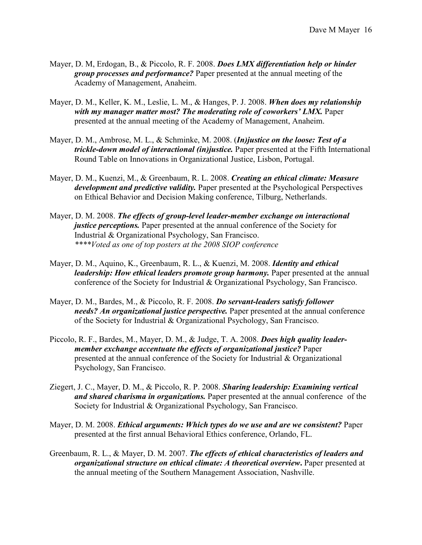- Mayer, D. M, Erdogan, B., & Piccolo, R. F. 2008. *Does LMX differentiation help or hinder group processes and performance?* Paper presented at the annual meeting of the Academy of Management, Anaheim.
- Mayer, D. M., Keller, K. M., Leslie, L. M., & Hanges, P. J. 2008. *When does my relationship with my manager matter most? The moderating role of coworkers' LMX.* Paper presented at the annual meeting of the Academy of Management, Anaheim.
- Mayer, D. M., Ambrose, M. L., & Schminke, M. 2008. (*In)justice on the loose: Test of a trickle-down model of interactional (in)justice.* Paper presented at the Fifth International Round Table on Innovations in Organizational Justice, Lisbon, Portugal.
- Mayer, D. M., Kuenzi, M., & Greenbaum, R. L. 2008. *Creating an ethical climate: Measure development and predictive validity.* Paper presented at the Psychological Perspectives on Ethical Behavior and Decision Making conference, Tilburg, Netherlands.
- Mayer, D. M. 2008. *The effects of group-level leader-member exchange on interactional justice perceptions.* Paper presented at the annual conference of the Society for Industrial & Organizational Psychology, San Francisco. *\*\*\*\*Voted as one of top posters at the 2008 SIOP conference*
- Mayer, D. M., Aquino, K., Greenbaum, R. L., & Kuenzi, M. 2008. *Identity and ethical leadership: How ethical leaders promote group harmony.* Paper presented at the annual conference of the Society for Industrial & Organizational Psychology, San Francisco.
- Mayer, D. M., Bardes, M., & Piccolo, R. F. 2008. *Do servant-leaders satisfy follower needs? An organizational justice perspective.* Paper presented at the annual conference of the Society for Industrial & Organizational Psychology, San Francisco.
- Piccolo, R. F., Bardes, M., Mayer, D. M., & Judge, T. A. 2008. *Does high quality leadermember exchange accentuate the effects of organizational justice?* Paper presented at the annual conference of the Society for Industrial & Organizational Psychology, San Francisco.
- Ziegert, J. C., Mayer, D. M., & Piccolo, R. P. 2008. *Sharing leadership: Examining vertical and shared charisma in organizations.* Paper presented at the annual conference of the Society for Industrial & Organizational Psychology, San Francisco.
- Mayer, D. M. 2008. *Ethical arguments: Which types do we use and are we consistent?* Paper presented at the first annual Behavioral Ethics conference, Orlando, FL.
- Greenbaum, R. L., & Mayer, D. M. 2007. *The effects of ethical characteristics of leaders and organizational structure on ethical climate: A theoretical overview***.** Paper presented at the annual meeting of the Southern Management Association, Nashville.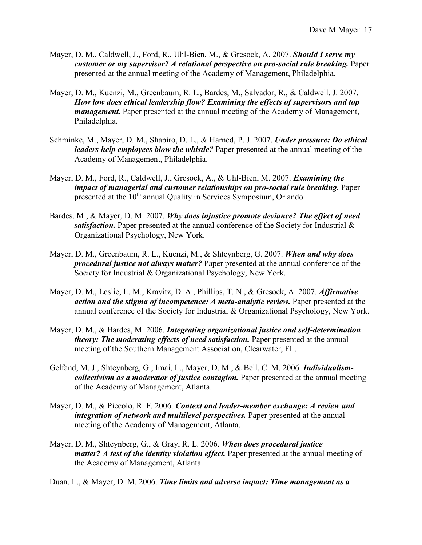- Mayer, D. M., Caldwell, J., Ford, R., Uhl-Bien, M., & Gresock, A. 2007. *Should I serve my customer or my supervisor? A relational perspective on pro-social rule breaking.* Paper presented at the annual meeting of the Academy of Management, Philadelphia.
- Mayer, D. M., Kuenzi, M., Greenbaum, R. L., Bardes, M., Salvador, R., & Caldwell, J. 2007. *How low does ethical leadership flow? Examining the effects of supervisors and top management.* Paper presented at the annual meeting of the Academy of Management, Philadelphia.
- Schminke, M., Mayer, D. M., Shapiro, D. L., & Harned, P. J. 2007. *Under pressure: Do ethical leaders help employees blow the whistle?* Paper presented at the annual meeting of the Academy of Management, Philadelphia.
- Mayer, D. M., Ford, R., Caldwell, J., Gresock, A., & Uhl-Bien, M. 2007. *Examining the impact of managerial and customer relationships on pro-social rule breaking.* Paper presented at the 10<sup>th</sup> annual Quality in Services Symposium, Orlando.
- Bardes, M., & Mayer, D. M. 2007. *Why does injustice promote deviance? The effect of need satisfaction.* Paper presented at the annual conference of the Society for Industrial & Organizational Psychology, New York.
- Mayer, D. M., Greenbaum, R. L., Kuenzi, M., & Shteynberg, G. 2007. *When and why does procedural justice not always matter?* Paper presented at the annual conference of the Society for Industrial & Organizational Psychology, New York.
- Mayer, D. M., Leslie, L. M., Kravitz, D. A., Phillips, T. N., & Gresock, A. 2007. *Affirmative action and the stigma of incompetence: A meta-analytic review.* Paper presented at the annual conference of the Society for Industrial & Organizational Psychology, New York.
- Mayer, D. M., & Bardes, M. 2006. *Integrating organizational justice and self-determination theory: The moderating effects of need satisfaction.* Paper presented at the annual meeting of the Southern Management Association, Clearwater, FL.
- Gelfand, M. J., Shteynberg, G., Imai, L., Mayer, D. M., & Bell, C. M. 2006. *Individualismcollectivism as a moderator of justice contagion.* Paper presented at the annual meeting of the Academy of Management, Atlanta.
- Mayer, D. M., & Piccolo, R. F. 2006. *Context and leader-member exchange: A review and integration of network and multilevel perspectives.* Paper presented at the annual meeting of the Academy of Management, Atlanta.
- Mayer, D. M., Shteynberg, G., & Gray, R. L. 2006. *When does procedural justice matter? A test of the identity violation effect.* Paper presented at the annual meeting of the Academy of Management, Atlanta.

Duan, L., & Mayer, D. M. 2006. *Time limits and adverse impact: Time management as a*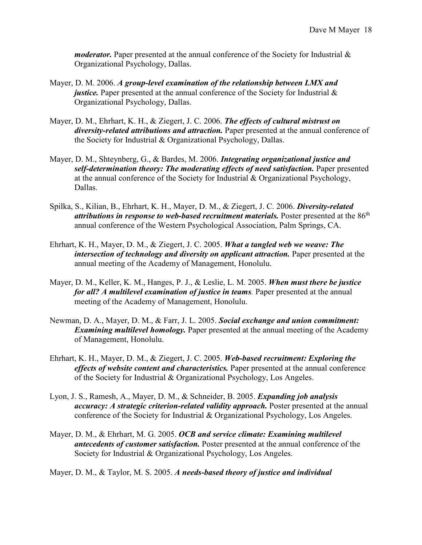*moderator.* Paper presented at the annual conference of the Society for Industrial & Organizational Psychology, Dallas.

- Mayer, D. M. 2006. *A group-level examination of the relationship between LMX and justice.* Paper presented at the annual conference of the Society for Industrial  $\&$ Organizational Psychology, Dallas.
- Mayer, D. M., Ehrhart, K. H., & Ziegert, J. C. 2006. *The effects of cultural mistrust on diversity-related attributions and attraction.* Paper presented at the annual conference of the Society for Industrial & Organizational Psychology, Dallas.
- Mayer, D. M., Shteynberg, G., & Bardes, M. 2006. *Integrating organizational justice and self-determination theory: The moderating effects of need satisfaction.* Paper presented at the annual conference of the Society for Industrial & Organizational Psychology, Dallas.
- Spilka, S., Kilian, B., Ehrhart, K. H., Mayer, D. M., & Ziegert, J. C. 2006. *Diversity-related attributions in response to web-based recruitment materials.* Poster presented at the 86<sup>th</sup> annual conference of the Western Psychological Association, Palm Springs, CA.
- Ehrhart, K. H., Mayer, D. M., & Ziegert, J. C. 2005. *What a tangled web we weave: The intersection of technology and diversity on applicant attraction.* Paper presented at the annual meeting of the Academy of Management, Honolulu.
- Mayer, D. M., Keller, K. M., Hanges, P. J., & Leslie, L. M. 2005. *When must there be justice for all? A multilevel examination of justice in teams.* Paper presented at the annual meeting of the Academy of Management, Honolulu.
- Newman, D. A., Mayer, D. M., & Farr, J. L. 2005. *Social exchange and union commitment: Examining multilevel homology.* Paper presented at the annual meeting of the Academy of Management, Honolulu.
- Ehrhart, K. H., Mayer, D. M., & Ziegert, J. C. 2005. *Web-based recruitment: Exploring the effects of website content and characteristics.* Paper presented at the annual conference of the Society for Industrial & Organizational Psychology, Los Angeles.
- Lyon, J. S., Ramesh, A., Mayer, D. M., & Schneider, B. 2005. *Expanding job analysis accuracy: A strategic criterion-related validity approach.* Poster presented at the annual conference of the Society for Industrial & Organizational Psychology, Los Angeles.
- Mayer, D. M., & Ehrhart, M. G. 2005. *OCB and service climate: Examining multilevel antecedents of customer satisfaction.* Poster presented at the annual conference of the Society for Industrial & Organizational Psychology, Los Angeles.

Mayer, D. M., & Taylor, M. S. 2005. *A needs-based theory of justice and individual*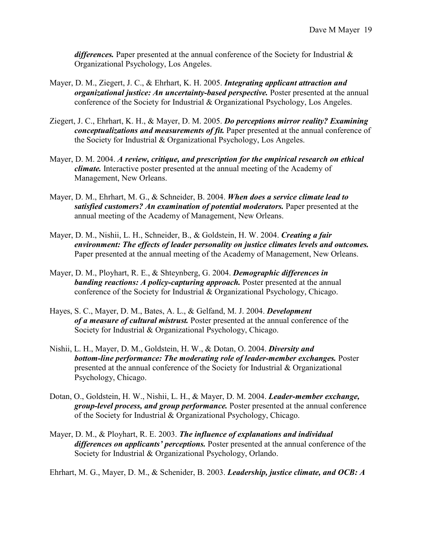*differences.* Paper presented at the annual conference of the Society for Industrial & Organizational Psychology, Los Angeles.

- Mayer, D. M., Ziegert, J. C., & Ehrhart, K. H. 2005. *Integrating applicant attraction and organizational justice: An uncertainty-based perspective.* Poster presented at the annual conference of the Society for Industrial & Organizational Psychology, Los Angeles.
- Ziegert, J. C., Ehrhart, K. H., & Mayer, D. M. 2005. *Do perceptions mirror reality? Examining conceptualizations and measurements of fit.* Paper presented at the annual conference of the Society for Industrial & Organizational Psychology, Los Angeles.
- Mayer, D. M. 2004. *A review, critique, and prescription for the empirical research on ethical climate.* Interactive poster presented at the annual meeting of the Academy of Management, New Orleans.
- Mayer, D. M., Ehrhart, M. G., & Schneider, B. 2004. *When does a service climate lead to satisfied customers? An examination of potential moderators.* Paper presented at the annual meeting of the Academy of Management, New Orleans.
- Mayer, D. M., Nishii, L. H., Schneider, B., & Goldstein, H. W. 2004. *Creating a fair environment: The effects of leader personality on justice climates levels and outcomes.* Paper presented at the annual meeting of the Academy of Management, New Orleans.
- Mayer, D. M., Ployhart, R. E., & Shteynberg, G. 2004. *Demographic differences in banding reactions: A policy-capturing approach.* Poster presented at the annual conference of the Society for Industrial & Organizational Psychology, Chicago.
- Hayes, S. C., Mayer, D. M., Bates, A. L., & Gelfand, M. J. 2004. *Development of a measure of cultural mistrust.* Poster presented at the annual conference of the Society for Industrial & Organizational Psychology, Chicago.
- Nishii, L. H., Mayer, D. M., Goldstein, H. W., & Dotan, O. 2004. *Diversity and bottom-line performance: The moderating role of leader-member exchanges.* Poster presented at the annual conference of the Society for Industrial & Organizational Psychology, Chicago.
- Dotan, O., Goldstein, H. W., Nishii, L. H., & Mayer, D. M. 2004. *Leader-member exchange, group-level process, and group performance.* Poster presented at the annual conference of the Society for Industrial & Organizational Psychology, Chicago.
- Mayer, D. M., & Ployhart, R. E. 2003. *The influence of explanations and individual differences on applicants' perceptions.* Poster presented at the annual conference of the Society for Industrial & Organizational Psychology, Orlando.

Ehrhart, M. G., Mayer, D. M., & Schenider, B. 2003. *Leadership, justice climate, and OCB: A*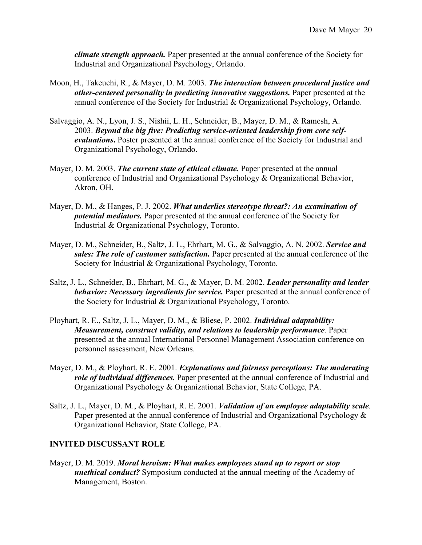*climate strength approach.* Paper presented at the annual conference of the Society for Industrial and Organizational Psychology, Orlando.

- Moon, H., Takeuchi, R., & Mayer, D. M. 2003. *The interaction between procedural justice and other-centered personality in predicting innovative suggestions.* Paper presented at the annual conference of the Society for Industrial & Organizational Psychology, Orlando.
- Salvaggio, A. N., Lyon, J. S., Nishii, L. H., Schneider, B., Mayer, D. M., & Ramesh, A. 2003. *Beyond the big five: Predicting service-oriented leadership from core selfevaluations***.** Poster presented at the annual conference of the Society for Industrial and Organizational Psychology, Orlando.
- Mayer, D. M. 2003. *The current state of ethical climate.* Paper presented at the annual conference of Industrial and Organizational Psychology & Organizational Behavior, Akron, OH.
- Mayer, D. M., & Hanges, P. J. 2002. *What underlies stereotype threat?: An examination of potential mediators.* Paper presented at the annual conference of the Society for Industrial & Organizational Psychology, Toronto.
- Mayer, D. M., Schneider, B., Saltz, J. L., Ehrhart, M. G., & Salvaggio, A. N. 2002. *Service and sales: The role of customer satisfaction.* Paper presented at the annual conference of the Society for Industrial & Organizational Psychology, Toronto.
- Saltz, J. L., Schneider, B., Ehrhart, M. G., & Mayer, D. M. 2002. *Leader personality and leader behavior: Necessary ingredients for service.* Paper presented at the annual conference of the Society for Industrial & Organizational Psychology, Toronto.
- Ployhart, R. E., Saltz, J. L., Mayer, D. M., & Bliese, P. 2002. *Individual adaptability: Measurement, construct validity, and relations to leadership performance.* Paper presented at the annual International Personnel Management Association conference on personnel assessment, New Orleans.
- Mayer, D. M., & Ployhart, R. E. 2001. *Explanations and fairness perceptions: The moderating role of individual differences.* Paper presented at the annual conference of Industrial and Organizational Psychology & Organizational Behavior, State College, PA.
- Saltz, J. L., Mayer, D. M., & Ployhart, R. E. 2001. *Validation of an employee adaptability scale.*  Paper presented at the annual conference of Industrial and Organizational Psychology & Organizational Behavior, State College, PA.

#### **INVITED DISCUSSANT ROLE**

Mayer, D. M. 2019. *Moral heroism: What makes employees stand up to report or stop unethical conduct?* Symposium conducted at the annual meeting of the Academy of Management, Boston.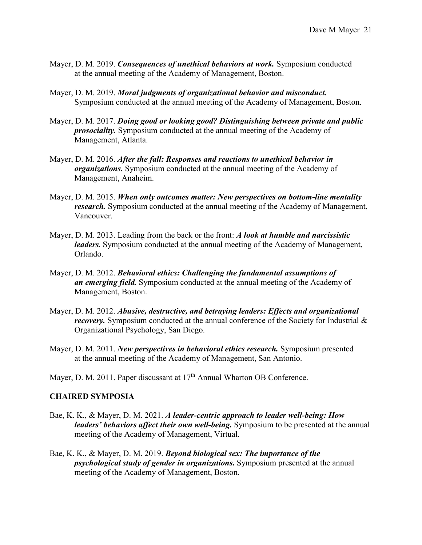- Mayer, D. M. 2019. *Consequences of unethical behaviors at work.* Symposium conducted at the annual meeting of the Academy of Management, Boston.
- Mayer, D. M. 2019. *Moral judgments of organizational behavior and misconduct.* Symposium conducted at the annual meeting of the Academy of Management, Boston.
- Mayer, D. M. 2017. *Doing good or looking good? Distinguishing between private and public prosociality.* Symposium conducted at the annual meeting of the Academy of Management, Atlanta.
- Mayer, D. M. 2016. *After the fall: Responses and reactions to unethical behavior in organizations.* Symposium conducted at the annual meeting of the Academy of Management, Anaheim.
- Mayer, D. M. 2015. *When only outcomes matter: New perspectives on bottom-line mentality research.* Symposium conducted at the annual meeting of the Academy of Management, Vancouver.
- Mayer, D. M. 2013. Leading from the back or the front: *A look at humble and narcissistic leaders.* Symposium conducted at the annual meeting of the Academy of Management, Orlando.
- Mayer, D. M. 2012. *Behavioral ethics: Challenging the fundamental assumptions of an emerging field.* Symposium conducted at the annual meeting of the Academy of Management, Boston.
- Mayer, D. M. 2012. *Abusive, destructive, and betraying leaders: Effects and organizational recovery*. Symposium conducted at the annual conference of the Society for Industrial & Organizational Psychology, San Diego.
- Mayer, D. M. 2011. *New perspectives in behavioral ethics research.* Symposium presented at the annual meeting of the Academy of Management, San Antonio.
- Mayer, D. M. 2011. Paper discussant at 17<sup>th</sup> Annual Wharton OB Conference.

#### **CHAIRED SYMPOSIA**

- Bae, K. K., & Mayer, D. M. 2021. *A leader-centric approach to leader well-being: How leaders' behaviors affect their own well-being.* Symposium to be presented at the annual meeting of the Academy of Management, Virtual.
- Bae, K. K., & Mayer, D. M. 2019. *Beyond biological sex: The importance of the psychological study of gender in organizations.* Symposium presented at the annual meeting of the Academy of Management, Boston.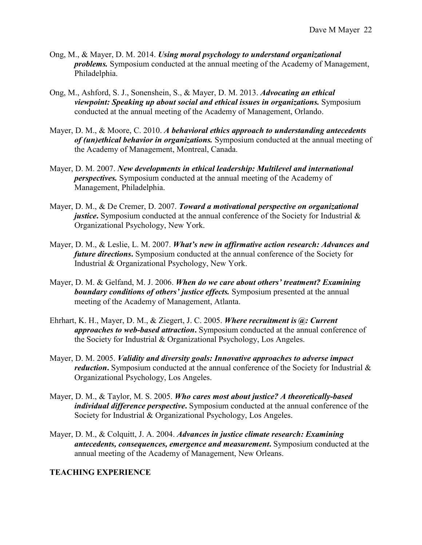- Ong, M., & Mayer, D. M. 2014. *Using moral psychology to understand organizational problems.* Symposium conducted at the annual meeting of the Academy of Management, Philadelphia.
- Ong, M., Ashford, S. J., Sonenshein, S., & Mayer, D. M. 2013. *Advocating an ethical viewpoint: Speaking up about social and ethical issues in organizations.* Symposium conducted at the annual meeting of the Academy of Management, Orlando.
- Mayer, D. M., & Moore, C. 2010. *A behavioral ethics approach to understanding antecedents of (un)ethical behavior in organizations.* Symposium conducted at the annual meeting of the Academy of Management, Montreal, Canada.
- Mayer, D. M. 2007. *New developments in ethical leadership: Multilevel and international perspectives.* Symposium conducted at the annual meeting of the Academy of Management, Philadelphia.
- Mayer, D. M., & De Cremer, D. 2007. *Toward a motivational perspective on organizational justice*. Symposium conducted at the annual conference of the Society for Industrial & Organizational Psychology, New York.
- Mayer, D. M., & Leslie, L. M. 2007. *What's new in affirmative action research: Advances and future directions***.** Symposium conducted at the annual conference of the Society for Industrial & Organizational Psychology, New York.
- Mayer, D. M. & Gelfand, M. J. 2006. *When do we care about others' treatment? Examining boundary conditions of others' justice effects.* Symposium presented at the annual meeting of the Academy of Management, Atlanta.
- Ehrhart, K. H., Mayer, D. M., & Ziegert, J. C. 2005. *Where recruitment is @: Current approaches to web-based attraction***.** Symposium conducted at the annual conference of the Society for Industrial & Organizational Psychology, Los Angeles.
- Mayer, D. M. 2005. *Validity and diversity goals: Innovative approaches to adverse impact reduction*. Symposium conducted at the annual conference of the Society for Industrial & Organizational Psychology, Los Angeles.
- Mayer, D. M., & Taylor, M. S. 2005. *Who cares most about justice? A theoretically-based individual difference perspective***.** Symposium conducted at the annual conference of the Society for Industrial & Organizational Psychology, Los Angeles.
- Mayer, D. M., & Colquitt, J. A. 2004. *Advances in justice climate research: Examining antecedents, consequences, emergence and measurement***.** Symposium conducted at the annual meeting of the Academy of Management, New Orleans.

### **TEACHING EXPERIENCE**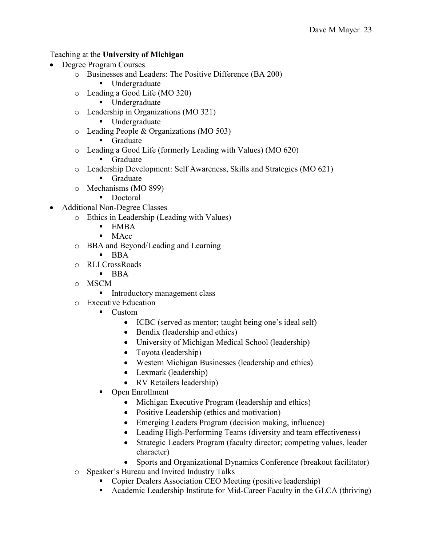### Teaching at the **University of Michigan**

- Degree Program Courses
	- o Businesses and Leaders: The Positive Difference (BA 200)
		- **Undergraduate**
	- o Leading a Good Life (MO 320)
		- Undergraduate
	- o Leadership in Organizations (MO 321)
		- Undergraduate
	- o Leading People & Organizations (MO 503)
		- **Graduate**
	- o Leading a Good Life (formerly Leading with Values) (MO 620)
		- **Graduate**
	- o Leadership Development: Self Awareness, Skills and Strategies (MO 621)
		- **Graduate**
	- o Mechanisms (MO 899)
		- Doctoral
- Additional Non-Degree Classes
	- o Ethics in Leadership (Leading with Values)
		- **EMBA**
		- $-MAcc$
	- o BBA and Beyond/Leading and Learning
		- $-BBA$
	- o RLI CrossRoads
		- $-BBA$
	- o MSCM
		- **Introductory management class**
	- o Executive Education
		- Custom
			- ICBC (served as mentor; taught being one's ideal self)
			- Bendix (leadership and ethics)
			- University of Michigan Medical School (leadership)
			- Toyota (leadership)
			- Western Michigan Businesses (leadership and ethics)
			- Lexmark (leadership)
			- RV Retailers leadership)
		- Open Enrollment
			- Michigan Executive Program (leadership and ethics)
			- Positive Leadership (ethics and motivation)
			- Emerging Leaders Program (decision making, influence)
			- Leading High-Performing Teams (diversity and team effectiveness)
			- Strategic Leaders Program (faculty director; competing values, leader character)
			- Sports and Organizational Dynamics Conference (breakout facilitator)
	- o Speaker's Bureau and Invited Industry Talks
		- Copier Dealers Association CEO Meeting (positive leadership)
		- Academic Leadership Institute for Mid-Career Faculty in the GLCA (thriving)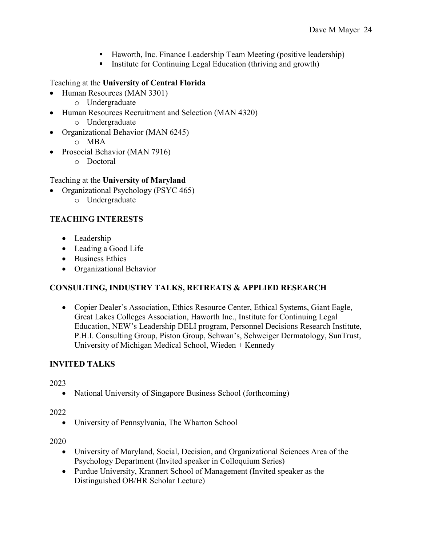- Haworth, Inc. Finance Leadership Team Meeting (positive leadership)
- **Institute for Continuing Legal Education (thriving and growth)**

# Teaching at the **University of Central Florida**

- Human Resources (MAN 3301)
	- o Undergraduate
- Human Resources Recruitment and Selection (MAN 4320) o Undergraduate
- Organizational Behavior (MAN 6245)
	- o MBA
- Prosocial Behavior (MAN 7916)
	- o Doctoral

# Teaching at the **University of Maryland**

- Organizational Psychology (PSYC 465)
	- o Undergraduate

# **TEACHING INTERESTS**

- Leadership
- Leading a Good Life
- Business Ethics
- Organizational Behavior

# **CONSULTING, INDUSTRY TALKS, RETREATS & APPLIED RESEARCH**

• Copier Dealer's Association, Ethics Resource Center, Ethical Systems, Giant Eagle, Great Lakes Colleges Association, Haworth Inc., Institute for Continuing Legal Education, NEW's Leadership DELI program, Personnel Decisions Research Institute, P.H.I. Consulting Group, Piston Group, Schwan's, Schweiger Dermatology, SunTrust, University of Michigan Medical School, Wieden + Kennedy

# **INVITED TALKS**

2023

• National University of Singapore Business School (forthcoming)

# 2022

• University of Pennsylvania, The Wharton School

2020

- University of Maryland, Social, Decision, and Organizational Sciences Area of the Psychology Department (Invited speaker in Colloquium Series)
- Purdue University, Krannert School of Management (Invited speaker as the Distinguished OB/HR Scholar Lecture)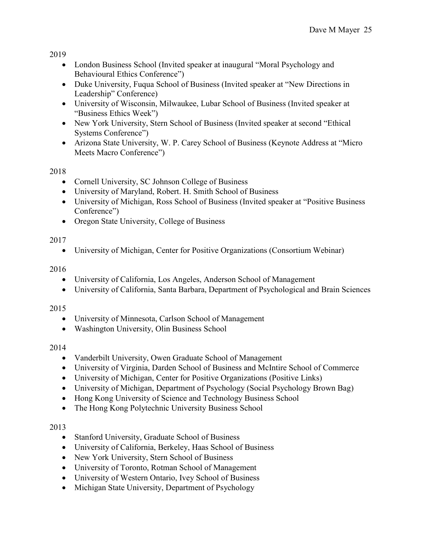2019

- London Business School (Invited speaker at inaugural "Moral Psychology and Behavioural Ethics Conference")
- Duke University, Fuqua School of Business (Invited speaker at "New Directions in Leadership" Conference)
- University of Wisconsin, Milwaukee, Lubar School of Business (Invited speaker at "Business Ethics Week")
- New York University, Stern School of Business (Invited speaker at second "Ethical Systems Conference")
- Arizona State University, W. P. Carey School of Business (Keynote Address at "Micro Meets Macro Conference")

2018

- Cornell University, SC Johnson College of Business
- University of Maryland, Robert. H. Smith School of Business
- University of Michigan, Ross School of Business (Invited speaker at "Positive Business" Conference")
- Oregon State University, College of Business

# 2017

• University of Michigan, Center for Positive Organizations (Consortium Webinar)

2016

- University of California, Los Angeles, Anderson School of Management
- University of California, Santa Barbara, Department of Psychological and Brain Sciences

# 2015

- University of Minnesota, Carlson School of Management
- Washington University, Olin Business School

# 2014

- Vanderbilt University, Owen Graduate School of Management
- University of Virginia, Darden School of Business and McIntire School of Commerce
- University of Michigan, Center for Positive Organizations (Positive Links)
- University of Michigan, Department of Psychology (Social Psychology Brown Bag)
- Hong Kong University of Science and Technology Business School
- The Hong Kong Polytechnic University Business School

# 2013

- Stanford University, Graduate School of Business
- University of California, Berkeley, Haas School of Business
- New York University, Stern School of Business
- University of Toronto, Rotman School of Management
- University of Western Ontario, Ivey School of Business
- Michigan State University, Department of Psychology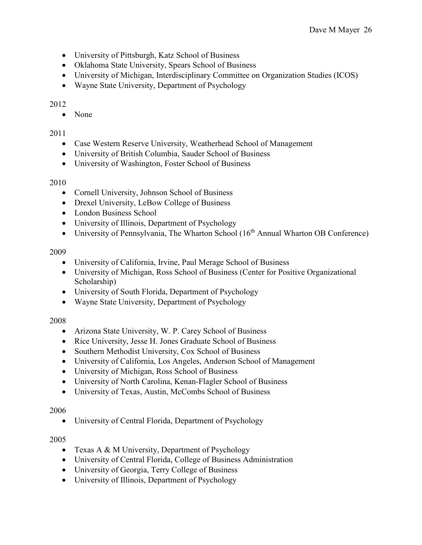- University of Pittsburgh, Katz School of Business
- Oklahoma State University, Spears School of Business
- University of Michigan, Interdisciplinary Committee on Organization Studies (ICOS)
- Wayne State University, Department of Psychology

### 2012

• None

### 2011

- Case Western Reserve University, Weatherhead School of Management
- University of British Columbia, Sauder School of Business
- University of Washington, Foster School of Business

### 2010

- Cornell University, Johnson School of Business
- Drexel University, LeBow College of Business
- London Business School
- University of Illinois, Department of Psychology
- University of Pennsylvania, The Wharton School (16<sup>th</sup> Annual Wharton OB Conference)

### 2009

- University of California, Irvine, Paul Merage School of Business
- University of Michigan, Ross School of Business (Center for Positive Organizational Scholarship)
- University of South Florida, Department of Psychology
- Wayne State University, Department of Psychology

### 2008

- Arizona State University, W. P. Carey School of Business
- Rice University, Jesse H. Jones Graduate School of Business
- Southern Methodist University, Cox School of Business
- University of California, Los Angeles, Anderson School of Management
- University of Michigan, Ross School of Business
- University of North Carolina, Kenan-Flagler School of Business
- University of Texas, Austin, McCombs School of Business

### 2006

• University of Central Florida, Department of Psychology

### 2005

- Texas A & M University, Department of Psychology
- University of Central Florida, College of Business Administration
- University of Georgia, Terry College of Business
- University of Illinois, Department of Psychology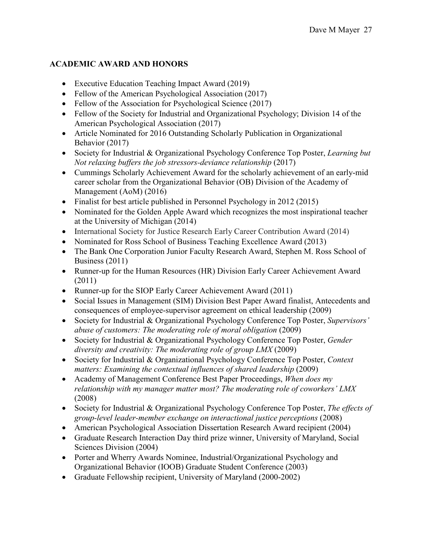## **ACADEMIC AWARD AND HONORS**

- Executive Education Teaching Impact Award (2019)
- Fellow of the American Psychological Association (2017)
- Fellow of the Association for Psychological Science (2017)
- Fellow of the Society for Industrial and Organizational Psychology; Division 14 of the American Psychological Association (2017)
- Article Nominated for 2016 Outstanding Scholarly Publication in Organizational Behavior (2017)
- Society for Industrial & Organizational Psychology Conference Top Poster, *Learning but Not relaxing buffers the job stressors-deviance relationship* (2017)
- Cummings Scholarly Achievement Award for the scholarly achievement of an early-mid career scholar from the Organizational Behavior (OB) Division of the Academy of Management (AoM) (2016)
- Finalist for best article published in Personnel Psychology in 2012 (2015)
- Nominated for the Golden Apple Award which recognizes the most inspirational teacher at the University of Michigan (2014)
- International Society for Justice Research Early Career Contribution Award (2014)
- Nominated for Ross School of Business Teaching Excellence Award (2013)
- The Bank One Corporation Junior Faculty Research Award, Stephen M. Ross School of Business (2011)
- Runner-up for the Human Resources (HR) Division Early Career Achievement Award (2011)
- Runner-up for the SIOP Early Career Achievement Award (2011)
- Social Issues in Management (SIM) Division Best Paper Award finalist, Antecedents and consequences of employee-supervisor agreement on ethical leadership (2009)
- Society for Industrial & Organizational Psychology Conference Top Poster, *Supervisors' abuse of customers: The moderating role of moral obligation* (2009)
- Society for Industrial & Organizational Psychology Conference Top Poster, *Gender diversity and creativity: The moderating role of group LMX* (2009)
- Society for Industrial & Organizational Psychology Conference Top Poster, *Context matters: Examining the contextual influences of shared leadership* (2009)
- Academy of Management Conference Best Paper Proceedings, *When does my relationship with my manager matter most? The moderating role of coworkers' LMX* (2008)
- Society for Industrial & Organizational Psychology Conference Top Poster, *The effects of group-level leader-member exchange on interactional justice perceptions* (2008)
- American Psychological Association Dissertation Research Award recipient (2004)
- Graduate Research Interaction Day third prize winner, University of Maryland, Social Sciences Division (2004)
- Porter and Wherry Awards Nominee, Industrial/Organizational Psychology and Organizational Behavior (IOOB) Graduate Student Conference (2003)
- Graduate Fellowship recipient, University of Maryland (2000-2002)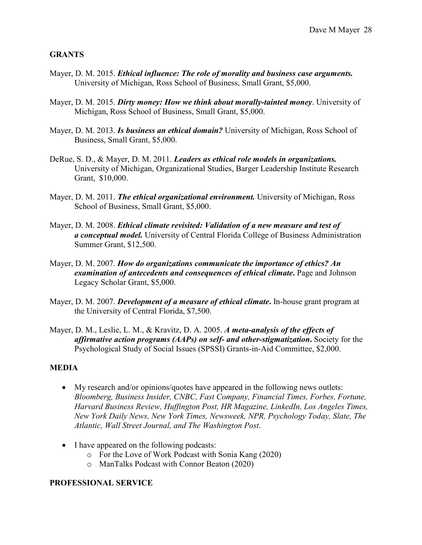#### **GRANTS**

- Mayer, D. M. 2015. *Ethical influence: The role of morality and business case arguments.* University of Michigan, Ross School of Business, Small Grant, \$5,000.
- Mayer, D. M. 2015. *Dirty money: How we think about morally-tainted money*. University of Michigan, Ross School of Business, Small Grant, \$5,000.
- Mayer, D. M. 2013. *Is business an ethical domain?* University of Michigan, Ross School of Business, Small Grant, \$5,000.
- DeRue, S. D., & Mayer, D. M. 2011. *Leaders as ethical role models in organizations.* University of Michigan, Organizational Studies, Barger Leadership Institute Research Grant, \$10,000.
- Mayer, D. M. 2011. *The ethical organizational environment.* University of Michigan, Ross School of Business, Small Grant, \$5,000.
- Mayer, D. M. 2008. *Ethical climate revisited: Validation of a new measure and test of a conceptual model.* University of Central Florida College of Business Administration Summer Grant, \$12,500.
- Mayer, D. M. 2007. *How do organizations communicate the importance of ethics? An examination of antecedents and consequences of ethical climate***.** Page and Johnson Legacy Scholar Grant, \$5,000.
- Mayer, D. M. 2007. *Development of a measure of ethical climate***.** In-house grant program at the University of Central Florida, \$7,500.
- Mayer, D. M., Leslie, L. M., & Kravitz, D. A. 2005. *A meta-analysis of the effects of affirmative action programs (AAPs) on self- and other-stigmatization***.** Society for the Psychological Study of Social Issues (SPSSI) Grants-in-Aid Committee, \$2,000.

#### **MEDIA**

- My research and/or opinions/quotes have appeared in the following news outlets: *Bloomberg, Business Insider, CNBC, Fast Company, Financial Times, Forbes, Fortune, Harvard Business Review, Huffington Post, HR Magazine, LinkedIn, Los Angeles Times, New York Daily News, New York Times, Newsweek, NPR, Psychology Today, Slate, The Atlantic, Wall Street Journal, and The Washington Post*.
- I have appeared on the following podcasts:
	- o For the Love of Work Podcast with Sonia Kang (2020)
	- o ManTalks Podcast with Connor Beaton (2020)

#### **PROFESSIONAL SERVICE**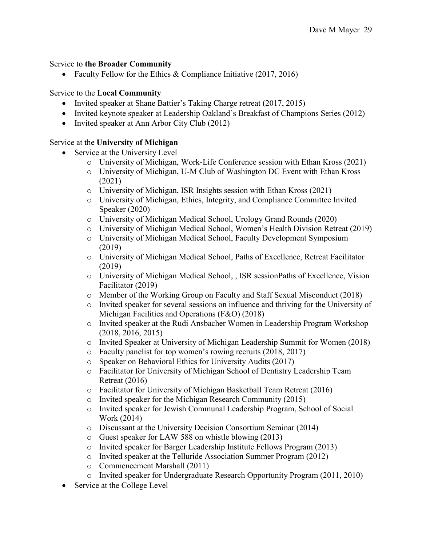#### Service to **the Broader Community**

• Faculty Fellow for the Ethics & Compliance Initiative (2017, 2016)

#### Service to the **Local Community**

- Invited speaker at Shane Battier's Taking Charge retreat (2017, 2015)
- Invited keynote speaker at Leadership Oakland's Breakfast of Champions Series (2012)
- Invited speaker at Ann Arbor City Club (2012)

#### Service at the **University of Michigan**

- Service at the University Level
	- o University of Michigan, Work-Life Conference session with Ethan Kross (2021)
	- o University of Michigan, U-M Club of Washington DC Event with Ethan Kross (2021)
	- o University of Michigan, ISR Insights session with Ethan Kross (2021)
	- o University of Michigan, Ethics, Integrity, and Compliance Committee Invited Speaker (2020)
	- o University of Michigan Medical School, Urology Grand Rounds (2020)
	- o University of Michigan Medical School, Women's Health Division Retreat (2019)
	- o University of Michigan Medical School, Faculty Development Symposium (2019)
	- o University of Michigan Medical School, Paths of Excellence, Retreat Facilitator (2019)
	- o University of Michigan Medical School, , ISR sessionPaths of Excellence, Vision Facilitator (2019)
	- o Member of the Working Group on Faculty and Staff Sexual Misconduct (2018)
	- o Invited speaker for several sessions on influence and thriving for the University of Michigan Facilities and Operations (F&O) (2018)
	- o Invited speaker at the Rudi Ansbacher Women in Leadership Program Workshop (2018, 2016, 2015)
	- o Invited Speaker at University of Michigan Leadership Summit for Women (2018)
	- o Faculty panelist for top women's rowing recruits (2018, 2017)
	- o Speaker on Behavioral Ethics for University Audits (2017)
	- o Facilitator for University of Michigan School of Dentistry Leadership Team Retreat (2016)
	- o Facilitator for University of Michigan Basketball Team Retreat (2016)
	- o Invited speaker for the Michigan Research Community (2015)
	- o Invited speaker for Jewish Communal Leadership Program, School of Social Work (2014)
	- o Discussant at the University Decision Consortium Seminar (2014)
	- o Guest speaker for LAW 588 on whistle blowing (2013)
	- o Invited speaker for Barger Leadership Institute Fellows Program (2013)
	- o Invited speaker at the Telluride Association Summer Program (2012)
	- o Commencement Marshall (2011)
	- o Invited speaker for Undergraduate Research Opportunity Program (2011, 2010)
- Service at the College Level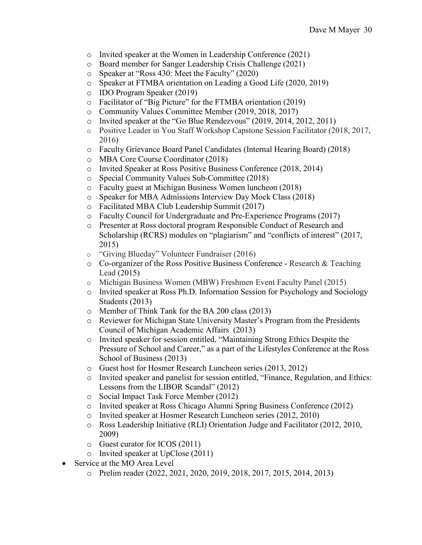- o Invited speaker at the Women in Leadership Conference (2021)
- o Board member for Sanger Leadership Crisis Challenge (2021)
- o Speaker at "Ross 430: Meet the Faculty" (2020)
- o Speaker at FTMBA orientation on Leading a Good Life (2020, 2019)
- o IDO Program Speaker (2019)
- o Facilitator of "Big Picture" for the FTMBA orientation (2019)
- o Community Values Committee Member (2019, 2018, 2017)
- o Invited speaker at the "Go Blue Rendezvous" (2019, 2014, 2012, 2011)
- o Positive Leader in You Staff Workshop Capstone Session Facilitator (2018, 2017, 2016)
- o Faculty Grievance Board Panel Candidates (Internal Hearing Board) (2018)
- o MBA Core Course Coordinator (2018)
- o Invited Speaker at Ross Positive Business Conference (2018, 2014)
- Special Community Values Sub-Committee (2018)
- o Faculty guest at Michigan Business Women luncheon (2018)
- o Speaker for MBA Admissions Interview Day Mock Class (2018)
- o Facilitated MBA Club Leadership Summit (2017)
- o Faculty Council for Undergraduate and Pre-Experience Programs (2017)
- o Presenter at Ross doctoral program Responsible Conduct of Research and Scholarship (RCRS) modules on "plagiarism" and "conflicts of interest" (2017, 2015)
- o "Giving Blueday" Volunteer Fundraiser (2016)
- $\circ$  Co-organizer of the Ross Positive Business Conference Research & Teaching Lead (2015)
- o Michigan Business Women (MBW) Freshmen Event Faculty Panel (2015)
- o Invited speaker at Ross Ph.D. Information Session for Psychology and Sociology Students (2013)
- o Member of Think Tank for the BA 200 class (2013)
- o Reviewer for Michigan State University Master's Program from the Presidents Council of Michigan Academic Affairs (2013)
- o Invited speaker for session entitled, "Maintaining Strong Ethics Despite the Pressure of School and Career," as a part of the Lifestyles Conference at the Ross School of Business (2013)
- o Guest host for Hosmer Research Luncheon series (2013, 2012)
- o Invited speaker and panelist for session entitled, "Finance, Regulation, and Ethics: Lessons from the LIBOR Scandal" (2012)
- o Social Impact Task Force Member (2012)
- o Invited speaker at Ross Chicago Alumni Spring Business Conference (2012)
- o Invited speaker at Hosmer Research Luncheon series (2012, 2010)
- o Ross Leadership Initiative (RLI) Orientation Judge and Facilitator (2012, 2010, 2009)
- o Guest curator for ICOS (2011)
- o Invited speaker at UpClose (2011)
- Service at the MO Area Level
	- o Prelim reader (2022, 2021, 2020, 2019, 2018, 2017, 2015, 2014, 2013)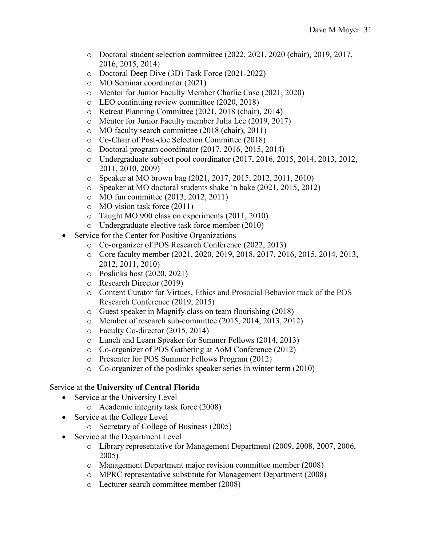- o Doctoral student selection committee (2022, 2021, 2020 (chair), 2019, 2017, 2016, 2015, 2014)
- o Doctoral Deep Dive (3D) Task Force (2021-2022)
- o MO Seminar coordinator (2021)
- o Mentor for Junior Faculty Member Charlie Case (2021, 2020)
- o LEO continuing review committee (2020, 2018)
- o Retreat Planning Committee (2021, 2018 (chair), 2014)
- o Mentor for Junior Faculty member Julia Lee (2019, 2017)
- o MO faculty search committee (2018 (chair), 2011)
- o Co-Chair of Post-doc Selection Committee (2018)
- o Doctoral program coordinator (2017, 2016, 2015, 2014)
- o Undergraduate subject pool coordinator (2017, 2016, 2015, 2014, 2013, 2012, 2011, 2010, 2009)
- o Speaker at MO brown bag (2021, 2017, 2015, 2012, 2011, 2010)
- o Speaker at MO doctoral students shake 'n bake (2021, 2015, 2012)
- o MO fun committee (2013, 2012, 2011)
- o MO vision task force (2011)
- o Taught MO 900 class on experiments (2011, 2010)
- o Undergraduate elective task force member (2010)
- Service for the Center for Positive Organizations
	- o Co-organizer of POS Research Conference (2022, 2013)
	- o Core faculty member (2021, 2020, 2019, 2018, 2017, 2016, 2015, 2014, 2013, 2012, 2011, 2010)
	- o Poslinks host (2020, 2021)
	- o Research Director (2019)
	- o Content Curator for Virtues, Ethics and Prosocial Behavior track of the POS Research Conference (2019, 2015)
	- o Guest speaker in Magnify class on team flourishing (2018)
	- o Member of research sub-committee (2015, 2014, 2013, 2012)
	- o Faculty Co-director (2015, 2014)
	- o Lunch and Learn Speaker for Summer Fellows (2014, 2013)
	- o Co-organizer of POS Gathering at AoM Conference (2012)
	- o Presenter for POS Summer Fellows Program (2012)
	- o Co-organizer of the poslinks speaker series in winter term (2010)

#### Service at the **University of Central Florida**

- Service at the University Level
	- o Academic integrity task force (2008)
- Service at the College Level
	- o Secretary of College of Business (2005)
- Service at the Department Level
	- o Library representative for Management Department (2009, 2008, 2007, 2006, 2005)
	- o Management Department major revision committee member (2008)
	- o MPRC representative substitute for Management Department (2008)
	- o Lecturer search committee member (2008)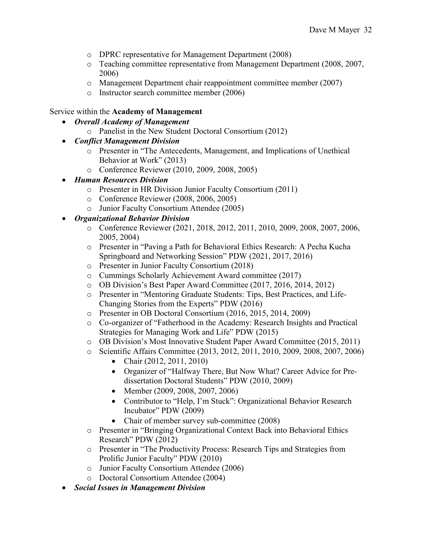- o DPRC representative for Management Department (2008)
- o Teaching committee representative from Management Department (2008, 2007, 2006)
- o Management Department chair reappointment committee member (2007)
- o Instructor search committee member (2006)

#### Service within the **Academy of Management**

- *Overall Academy of Management*
	- o Panelist in the New Student Doctoral Consortium (2012)
- *Conflict Management Division* 
	- o Presenter in "The Antecedents, Management, and Implications of Unethical Behavior at Work" (2013)
	- o Conference Reviewer (2010, 2009, 2008, 2005)
- *Human Resources Division* 
	- o Presenter in HR Division Junior Faculty Consortium (2011)
	- o Conference Reviewer (2008, 2006, 2005)
	- o Junior Faculty Consortium Attendee (2005)
- *Organizational Behavior Division*
	- o Conference Reviewer (2021, 2018, 2012, 2011, 2010, 2009, 2008, 2007, 2006, 2005, 2004)
	- o Presenter in "Paving a Path for Behavioral Ethics Research: A Pecha Kucha Springboard and Networking Session" PDW (2021, 2017, 2016)
	- o Presenter in Junior Faculty Consortium (2018)
	- o Cummings Scholarly Achievement Award committee (2017)
	- o OB Division's Best Paper Award Committee (2017, 2016, 2014, 2012)
	- o Presenter in "Mentoring Graduate Students: Tips, Best Practices, and Life-Changing Stories from the Experts" PDW (2016)
	- o Presenter in OB Doctoral Consortium (2016, 2015, 2014, 2009)
	- o Co-organizer of "Fatherhood in the Academy: Research Insights and Practical Strategies for Managing Work and Life" PDW (2015)
	- o OB Division's Most Innovative Student Paper Award Committee (2015, 2011)
	- o Scientific Affairs Committee (2013, 2012, 2011, 2010, 2009, 2008, 2007, 2006)
		- Chair (2012, 2011, 2010)
		- Organizer of "Halfway There, But Now What? Career Advice for Predissertation Doctoral Students" PDW (2010, 2009)
		- Member (2009, 2008, 2007, 2006)
		- Contributor to "Help, I'm Stuck": Organizational Behavior Research Incubator" PDW (2009)
		- Chair of member survey sub-committee (2008)
	- o Presenter in "Bringing Organizational Context Back into Behavioral Ethics Research" PDW (2012)
	- o Presenter in "The Productivity Process: Research Tips and Strategies from Prolific Junior Faculty" PDW (2010)
	- o Junior Faculty Consortium Attendee (2006)
	- o Doctoral Consortium Attendee (2004)
- *Social Issues in Management Division*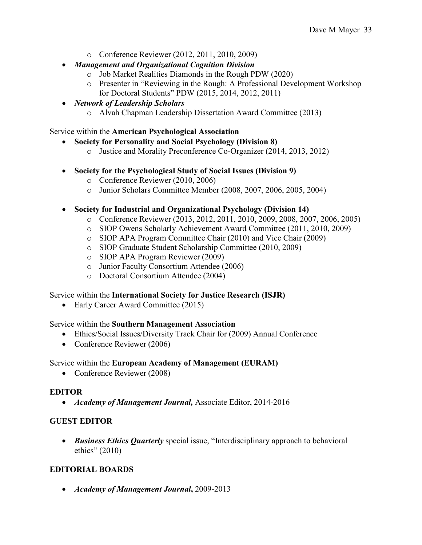- o Conference Reviewer (2012, 2011, 2010, 2009)
- *Management and Organizational Cognition Division*
	- o Job Market Realities Diamonds in the Rough PDW (2020)
	- o Presenter in "Reviewing in the Rough: A Professional Development Workshop for Doctoral Students" PDW (2015, 2014, 2012, 2011)
- *Network of Leadership Scholars*
	- o Alvah Chapman Leadership Dissertation Award Committee (2013)

#### Service within the **American Psychological Association**

- **Society for Personality and Social Psychology (Division 8)**
	- o Justice and Morality Preconference Co-Organizer (2014, 2013, 2012)
- **Society for the Psychological Study of Social Issues (Division 9)**
	- o Conference Reviewer (2010, 2006)
	- o Junior Scholars Committee Member (2008, 2007, 2006, 2005, 2004)

### • **Society for Industrial and Organizational Psychology (Division 14)**

- o Conference Reviewer (2013, 2012, 2011, 2010, 2009, 2008, 2007, 2006, 2005)
- o SIOP Owens Scholarly Achievement Award Committee (2011, 2010, 2009)
- o SIOP APA Program Committee Chair (2010) and Vice Chair (2009)
- o SIOP Graduate Student Scholarship Committee (2010, 2009)
- o SIOP APA Program Reviewer (2009)
- o Junior Faculty Consortium Attendee (2006)
- o Doctoral Consortium Attendee (2004)

### Service within the **International Society for Justice Research (ISJR)**

• Early Career Award Committee (2015)

#### Service within the **Southern Management Association**

- Ethics/Social Issues/Diversity Track Chair for (2009) Annual Conference
- Conference Reviewer (2006)

### Service within the **European Academy of Management (EURAM)**

• Conference Reviewer (2008)

### **EDITOR**

• *Academy of Management Journal,* Associate Editor, 2014-2016

### **GUEST EDITOR**

• *Business Ethics Quarterly* special issue, "Interdisciplinary approach to behavioral ethics" (2010)

### **EDITORIAL BOARDS**

• *Academy of Management Journal***,** 2009-2013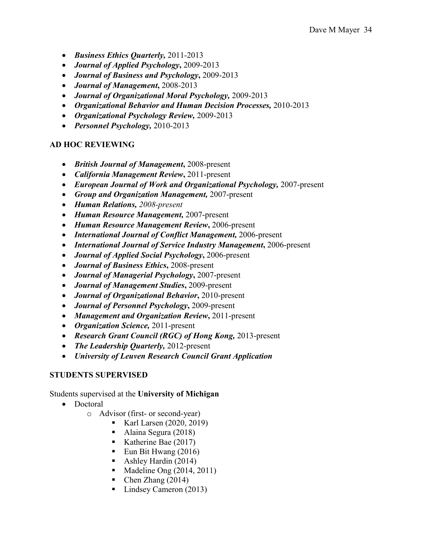- *Business Ethics Quarterly,* 2011-2013
- *Journal of Applied Psychology***,** 2009-2013
- *Journal of Business and Psychology***,** 2009-2013
- *Journal of Management***,** 2008-2013
- *Journal of Organizational Moral Psychology,* 2009-2013
- *Organizational Behavior and Human Decision Processes,* 2010-2013
- *Organizational Psychology Review,* 2009-2013
- *Personnel Psychology,* 2010-2013

### **AD HOC REVIEWING**

- *British Journal of Management***,** 2008-present
- *California Management Review***,** 2011-present
- *European Journal of Work and Organizational Psychology,* 2007-present
- *Group and Organization Management,* 2007-present
- *Human Relations, 2008-present*
- *Human Resource Management,* 2007-present
- *Human Resource Management Review***,** 2006-present
- *International Journal of Conflict Management,* 2006-present
- *International Journal of Service Industry Management***,** 2006-present
- *Journal of Applied Social Psychology***,** 2006-present
- *Journal of Business Ethics***,** 2008-present
- *Journal of Managerial Psychology***,** 2007-present
- *Journal of Management Studies***,** 2009-present
- *Journal of Organizational Behavior***,** 2010-present
- *Journal of Personnel Psychology***,** 2009-present
- *Management and Organization Review***,** 2011-present
- *Organization Science,* 2011-present
- *Research Grant Council (RGC) of Hong Kong,* 2013-present
- *The Leadership Quarterly,* 2012-present
- *University of Leuven Research Council Grant Application*

### **STUDENTS SUPERVISED**

### Students supervised at the **University of Michigan**

- Doctoral
	- o Advisor (first- or second-year)
		- **Karl Larsen (2020, 2019)**
		- Alaina Segura (2018)
		- Katherine Bae (2017)
		- Eun Bit Hwang  $(2016)$
		- Ashley Hardin (2014)
		- $\blacksquare$  Madeline Ong (2014, 2011)
		- $\blacksquare$  Chen Zhang (2014)
		- Lindsey Cameron (2013)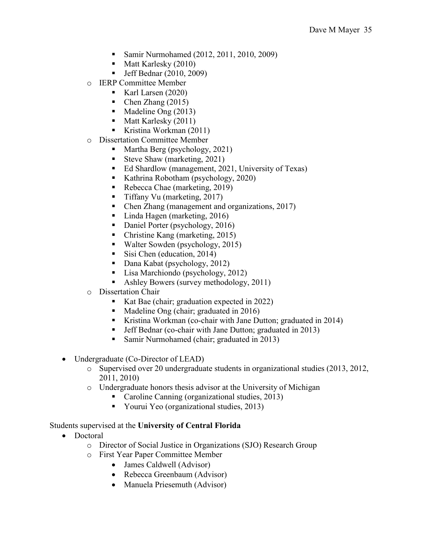- Samir Nurmohamed (2012, 2011, 2010, 2009)
- $\blacksquare$  Matt Karlesky (2010)
- Jeff Bednar (2010, 2009)
- o IERP Committee Member
	- Karl Larsen (2020)
	- Chen Zhang (2015)
	- Madeline Ong (2013)
	- $\blacksquare$  Matt Karlesky (2011)
	- Kristina Workman (2011)
- o Dissertation Committee Member
	- Martha Berg (psychology, 2021)
	- Steve Shaw (marketing, 2021)
	- Ed Shardlow (management, 2021, University of Texas)
	- Kathrina Robotham (psychology, 2020)
	- Rebecca Chae (marketing, 2019)
	- Tiffany Vu (marketing, 2017)
	- Chen Zhang (management and organizations, 2017)
	- Linda Hagen (marketing, 2016)
	- Daniel Porter (psychology, 2016)
	- Christine Kang (marketing, 2015)
	- Walter Sowden (psychology, 2015)
	- Sisi Chen (education, 2014)
	- Dana Kabat (psychology, 2012)
	- Lisa Marchiondo (psychology, 2012)
	- Ashley Bowers (survey methodology, 2011)
- o Dissertation Chair
	- Kat Bae (chair; graduation expected in 2022)
	- Madeline Ong (chair; graduated in 2016)
	- Kristina Workman (co-chair with Jane Dutton; graduated in 2014)
	- Jeff Bednar (co-chair with Jane Dutton; graduated in 2013)
	- Samir Nurmohamed (chair; graduated in 2013)
- Undergraduate (Co-Director of LEAD)
	- o Supervised over 20 undergraduate students in organizational studies (2013, 2012, 2011, 2010)
	- o Undergraduate honors thesis advisor at the University of Michigan<br>Caroline Canning (organizational studies 2013)
		- Caroline Canning (organizational studies, 2013)
		- Yourui Yeo (organizational studies, 2013)

### Students supervised at the **University of Central Florida**

- Doctoral
	- o Director of Social Justice in Organizations (SJO) Research Group
	- o First Year Paper Committee Member
		- James Caldwell (Advisor)
		- Rebecca Greenbaum (Advisor)
		- Manuela Priesemuth (Advisor)